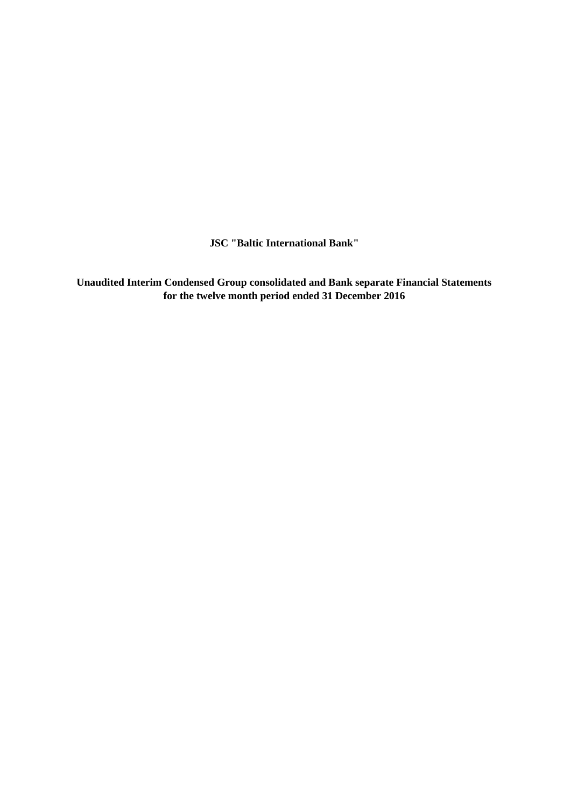**JSC "Baltic International Bank"**

**Unaudited Interim Condensed Group consolidated and Bank separate Financial Statements for the twelve month period ended 31 December 2016**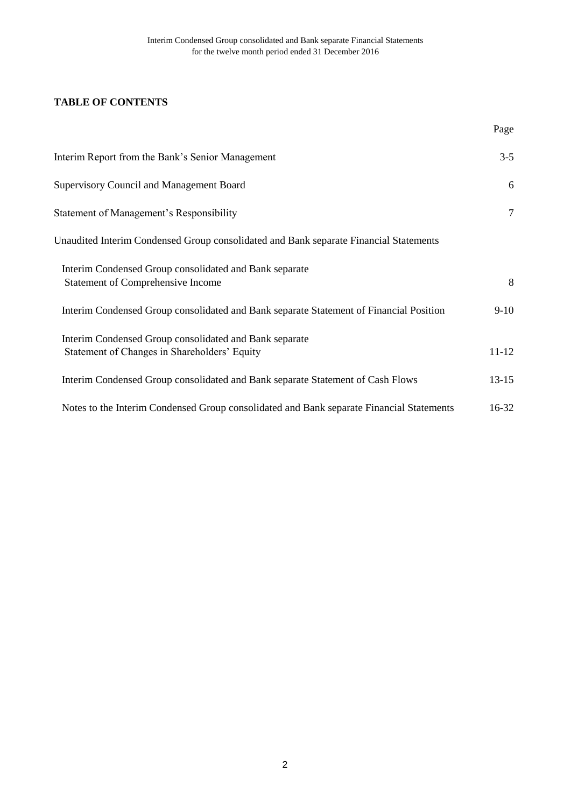# **TABLE OF CONTENTS**

|                                                                                                        | Page           |
|--------------------------------------------------------------------------------------------------------|----------------|
| Interim Report from the Bank's Senior Management                                                       | $3 - 5$        |
| <b>Supervisory Council and Management Board</b>                                                        | 6              |
| Statement of Management's Responsibility                                                               | $\overline{7}$ |
| Unaudited Interim Condensed Group consolidated and Bank separate Financial Statements                  |                |
| Interim Condensed Group consolidated and Bank separate<br><b>Statement of Comprehensive Income</b>     | 8              |
| Interim Condensed Group consolidated and Bank separate Statement of Financial Position                 | $9-10$         |
| Interim Condensed Group consolidated and Bank separate<br>Statement of Changes in Shareholders' Equity | $11 - 12$      |
| Interim Condensed Group consolidated and Bank separate Statement of Cash Flows                         | $13 - 15$      |
| Notes to the Interim Condensed Group consolidated and Bank separate Financial Statements               | $16 - 32$      |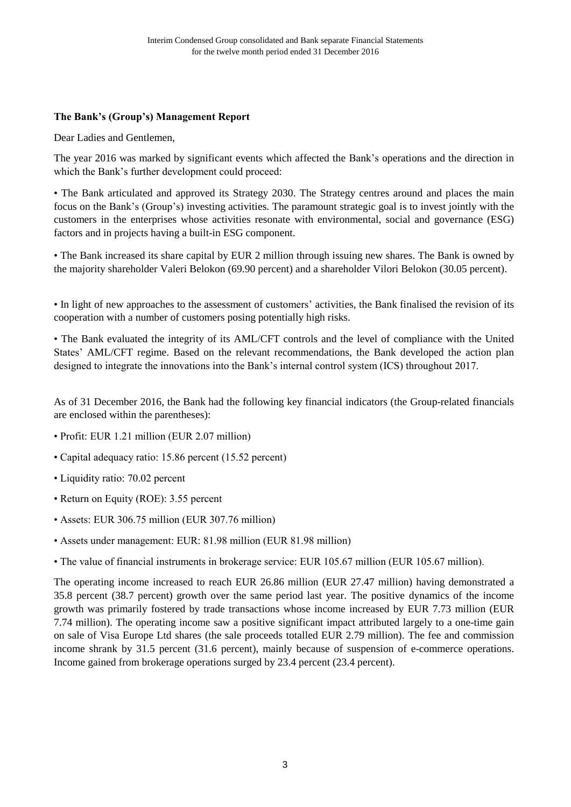# **The Bank's (Group's) Management Report**

Dear Ladies and Gentlemen,

The year 2016 was marked by significant events which affected the Bank's operations and the direction in which the Bank's further development could proceed:

• The Bank articulated and approved its Strategy 2030. The Strategy centres around and places the main focus on the Bank's (Group's) investing activities. The paramount strategic goal is to invest jointly with the customers in the enterprises whose activities resonate with environmental, social and governance (ESG) factors and in projects having a built-in ESG component.

• The Bank increased its share capital by EUR 2 million through issuing new shares. The Bank is owned by the majority shareholder Valeri Belokon (69.90 percent) and a shareholder Vilori Belokon (30.05 percent).

• In light of new approaches to the assessment of customers' activities, the Bank finalised the revision of its cooperation with a number of customers posing potentially high risks.

• The Bank evaluated the integrity of its AML/CFT controls and the level of compliance with the United States' AML/CFT regime. Based on the relevant recommendations, the Bank developed the action plan designed to integrate the innovations into the Bank's internal control system (ICS) throughout 2017.

As of 31 December 2016, the Bank had the following key financial indicators (the Group-related financials are enclosed within the parentheses):

- Profit: EUR 1.21 million (EUR 2.07 million)
- Capital adequacy ratio: 15.86 percent (15.52 percent)
- Liquidity ratio: 70.02 percent
- Return on Equity (ROE): 3.55 percent
- Assets: EUR 306.75 million (EUR 307.76 million)
- Assets under management: EUR: 81.98 million (EUR 81.98 million)
- The value of financial instruments in brokerage service: EUR 105.67 million (EUR 105.67 million).

The operating income increased to reach EUR 26.86 million (EUR 27.47 million) having demonstrated a 35.8 percent (38.7 percent) growth over the same period last year. The positive dynamics of the income growth was primarily fostered by trade transactions whose income increased by EUR 7.73 million (EUR 7.74 million). The operating income saw a positive significant impact attributed largely to a one-time gain on sale of Visa Europe Ltd shares (the sale proceeds totalled EUR 2.79 million). The fee and commission income shrank by 31.5 percent (31.6 percent), mainly because of suspension of e-commerce operations. Income gained from brokerage operations surged by 23.4 percent (23.4 percent).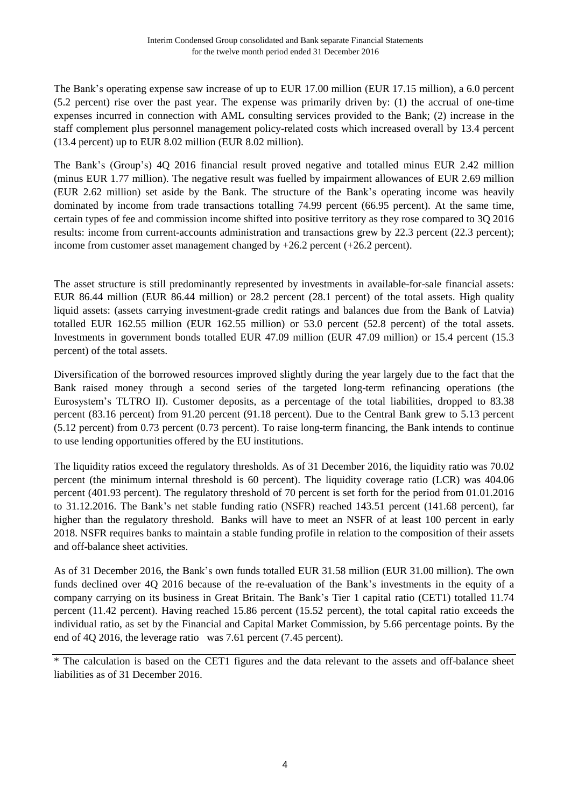The Bank's operating expense saw increase of up to EUR 17.00 million (EUR 17.15 million), a 6.0 percent (5.2 percent) rise over the past year. The expense was primarily driven by: (1) the accrual of one-time expenses incurred in connection with AML consulting services provided to the Bank; (2) increase in the staff complement plus personnel management policy-related costs which increased overall by 13.4 percent (13.4 percent) up to EUR 8.02 million (EUR 8.02 million).

The Bank's (Group's) 4Q 2016 financial result proved negative and totalled minus EUR 2.42 million (minus EUR 1.77 million). The negative result was fuelled by impairment allowances of EUR 2.69 million (EUR 2.62 million) set aside by the Bank. The structure of the Bank's operating income was heavily dominated by income from trade transactions totalling 74.99 percent (66.95 percent). At the same time, certain types of fee and commission income shifted into positive territory as they rose compared to 3Q 2016 results: income from current-accounts administration and transactions grew by 22.3 percent (22.3 percent); income from customer asset management changed by  $+26.2$  percent ( $+26.2$  percent).

The asset structure is still predominantly represented by investments in available-for-sale financial assets: EUR 86.44 million (EUR 86.44 million) or 28.2 percent (28.1 percent) of the total assets. High quality liquid assets: (assets carrying investment-grade credit ratings and balances due from the Bank of Latvia) totalled EUR 162.55 million (EUR 162.55 million) or 53.0 percent (52.8 percent) of the total assets. Investments in government bonds totalled EUR 47.09 million (EUR 47.09 million) or 15.4 percent (15.3 percent) of the total assets.

Diversification of the borrowed resources improved slightly during the year largely due to the fact that the Bank raised money through a second series of the targeted long-term refinancing operations (the Eurosystem's TLTRO II). Customer deposits, as a percentage of the total liabilities, dropped to 83.38 percent (83.16 percent) from 91.20 percent (91.18 percent). Due to the Central Bank grew to 5.13 percent (5.12 percent) from 0.73 percent (0.73 percent). To raise long-term financing, the Bank intends to continue to use lending opportunities offered by the EU institutions.

The liquidity ratios exceed the regulatory thresholds. As of 31 December 2016, the liquidity ratio was 70.02 percent (the minimum internal threshold is 60 percent). The liquidity coverage ratio (LCR) was 404.06 percent (401.93 percent). The regulatory threshold of 70 percent is set forth for the period from 01.01.2016 to 31.12.2016. The Bank's net stable funding ratio (NSFR) reached 143.51 percent (141.68 percent), far higher than the regulatory threshold. Banks will have to meet an NSFR of at least 100 percent in early 2018. NSFR requires banks to maintain a stable funding profile in relation to the composition of their assets and off-balance sheet activities.

As of 31 December 2016, the Bank's own funds totalled EUR 31.58 million (EUR 31.00 million). The own funds declined over 4Q 2016 because of the re-evaluation of the Bank's investments in the equity of a company carrying on its business in Great Britain. The Bank's Tier 1 capital ratio (CET1) totalled 11.74 percent (11.42 percent). Having reached 15.86 percent (15.52 percent), the total capital ratio exceeds the individual ratio, as set by the Financial and Capital Market Commission, by 5.66 percentage points. By the end of 4Q 2016, the leverage ratio was 7.61 percent (7.45 percent).

<sup>\*</sup> The calculation is based on the CET1 figures and the data relevant to the assets and off-balance sheet liabilities as of 31 December 2016.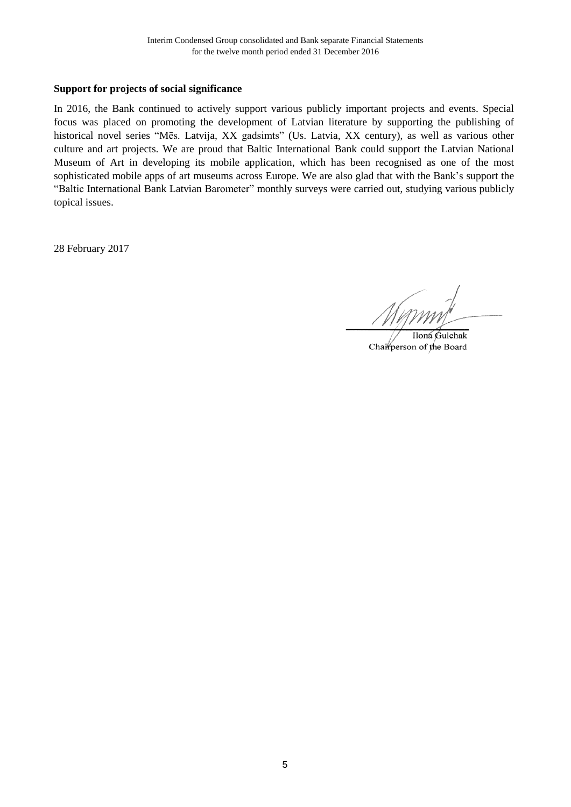## **Support for projects of social significance**

In 2016, the Bank continued to actively support various publicly important projects and events. Special focus was placed on promoting the development of Latvian literature by supporting the publishing of historical novel series "Mēs. Latvija, XX gadsimts" (Us. Latvia, XX century), as well as various other culture and art projects. We are proud that Baltic International Bank could support the Latvian National Museum of Art in developing its mobile application, which has been recognised as one of the most sophisticated mobile apps of art museums across Europe. We are also glad that with the Bank's support the "Baltic International Bank Latvian Barometer" monthly surveys were carried out, studying various publicly topical issues.

28 February 2017

Ilona Gulchak Chairperson of the Board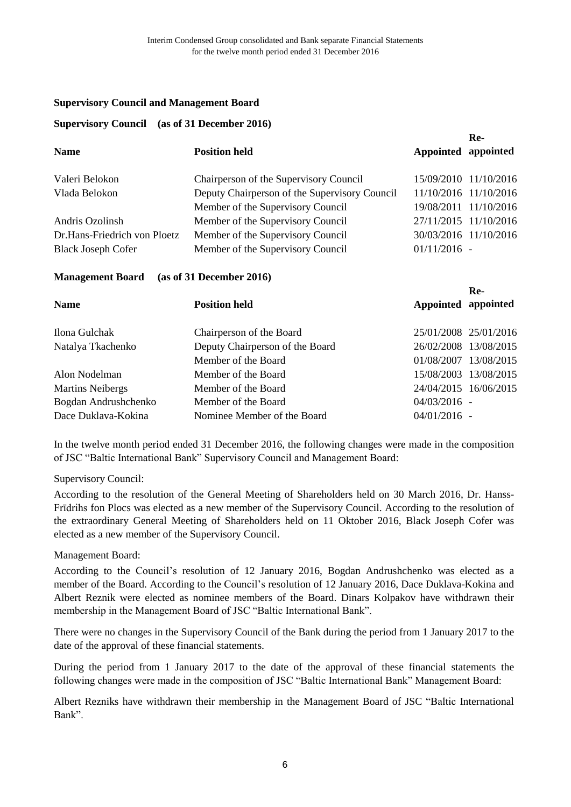#### **Supervisory Council and Management Board**

#### **Supervisory Council (as of 31 December 2016)**

| <b>Position held</b>                          | Appointed appointed   | ке-                   |
|-----------------------------------------------|-----------------------|-----------------------|
| Chairperson of the Supervisory Council        |                       | 15/09/2010 11/10/2016 |
| Deputy Chairperson of the Supervisory Council |                       | 11/10/2016 11/10/2016 |
| Member of the Supervisory Council             |                       | 19/08/2011 11/10/2016 |
| Member of the Supervisory Council             | 27/11/2015 11/10/2016 |                       |
| Member of the Supervisory Council             | 30/03/2016 11/10/2016 |                       |
| Member of the Supervisory Council             | $01/11/2016$ -        |                       |
|                                               |                       |                       |

**Re-**

## **Management Board (as of 31 December 2016)**

|                         |                                 |                     | Re-                   |
|-------------------------|---------------------------------|---------------------|-----------------------|
| <b>Name</b>             | <b>Position held</b>            | Appointed appointed |                       |
| Ilona Gulchak           | Chairperson of the Board        |                     | 25/01/2008 25/01/2016 |
| Natalya Tkachenko       | Deputy Chairperson of the Board |                     | 26/02/2008 13/08/2015 |
|                         | Member of the Board             |                     | 01/08/2007 13/08/2015 |
| Alon Nodelman           | Member of the Board             |                     | 15/08/2003 13/08/2015 |
| <b>Martins Neibergs</b> | Member of the Board             |                     | 24/04/2015 16/06/2015 |
| Bogdan Andrushchenko    | Member of the Board             | $04/03/2016 -$      |                       |
| Dace Duklava-Kokina     | Nominee Member of the Board     | $04/01/2016$ -      |                       |

In the twelve month period ended 31 December 2016, the following changes were made in the composition of JSC "Baltic International Bank" Supervisory Council and Management Board:

## Supervisory Council:

According to the resolution of the General Meeting of Shareholders held on 30 March 2016, Dr. Hanss-Frīdrihs fon Plocs was elected as a new member of the Supervisory Council. According to the resolution of the extraordinary General Meeting of Shareholders held on 11 Oktober 2016, Black Joseph Cofer was elected as a new member of the Supervisory Council.

## Management Board:

According to the Council's resolution of 12 January 2016, Bogdan Andrushchenko was elected as a member of the Board. According to the Council's resolution of 12 January 2016, Dace Duklava-Kokina and Albert Reznik were elected as nominee members of the Board. Dinars Kolpakov have withdrawn their membership in the Management Board of JSC "Baltic International Bank".

There were no changes in the Supervisory Council of the Bank during the period from 1 January 2017 to the date of the approval of these financial statements.

During the period from 1 January 2017 to the date of the approval of these financial statements the following changes were made in the composition of JSC "Baltic International Bank" Management Board:

Albert Rezniks have withdrawn their membership in the Management Board of JSC "Baltic International Bank".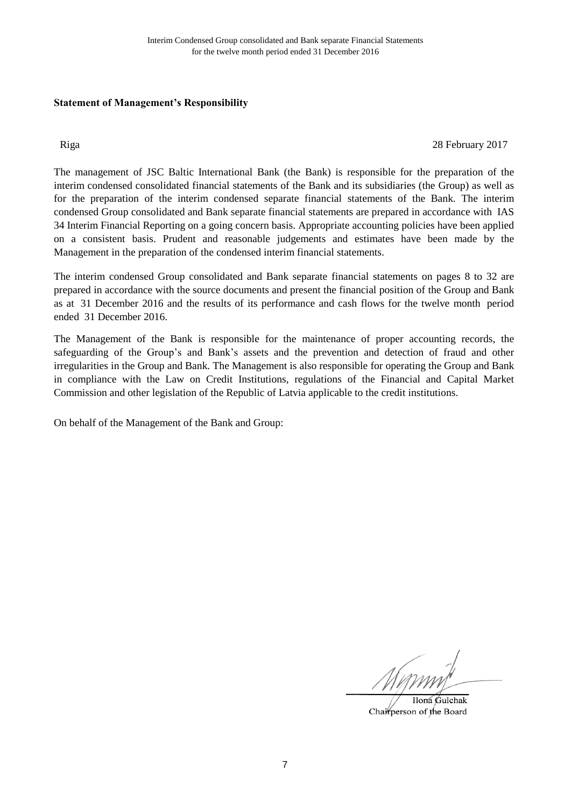## **Statement of Management's Responsibility**

Riga 28 February 2017

The management of JSC Baltic International Bank (the Bank) is responsible for the preparation of the interim condensed consolidated financial statements of the Bank and its subsidiaries (the Group) as well as for the preparation of the interim condensed separate financial statements of the Bank. The interim condensed Group consolidated and Bank separate financial statements are prepared in accordance with IAS 34 Interim Financial Reporting on a going concern basis. Appropriate accounting policies have been applied on a consistent basis. Prudent and reasonable judgements and estimates have been made by the Management in the preparation of the condensed interim financial statements.

The interim condensed Group consolidated and Bank separate financial statements on pages 8 to 32 are prepared in accordance with the source documents and present the financial position of the Group and Bank as at 31 December 2016 and the results of its performance and cash flows for the twelve month period ended 31 December 2016.

The Management of the Bank is responsible for the maintenance of proper accounting records, the safeguarding of the Group's and Bank's assets and the prevention and detection of fraud and other irregularities in the Group and Bank. The Management is also responsible for operating the Group and Bank in compliance with the Law on Credit Institutions, regulations of the Financial and Capital Market Commission and other legislation of the Republic of Latvia applicable to the credit institutions.

On behalf of the Management of the Bank and Group:

Ilona Gulchak Chairperson of the Board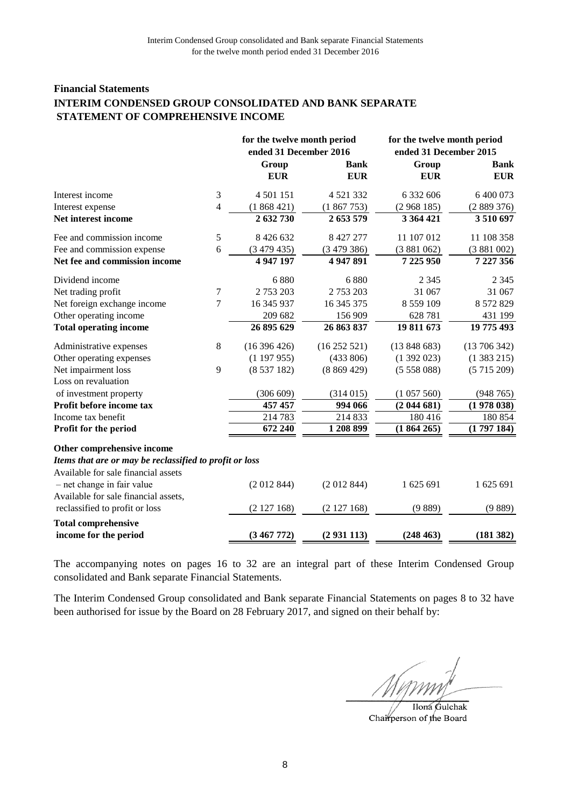#### **Financial Statements INTERIM CONDENSED GROUP CONSOLIDATED AND BANK SEPARATE STATEMENT OF COMPREHENSIVE INCOME**

|                                                         |                  | for the twelve month period |             | for the twelve month period |             |  |
|---------------------------------------------------------|------------------|-----------------------------|-------------|-----------------------------|-------------|--|
|                                                         |                  | ended 31 December 2016      |             | ended 31 December 2015      |             |  |
|                                                         |                  | Group                       | <b>Bank</b> | Group                       | <b>Bank</b> |  |
|                                                         |                  | <b>EUR</b>                  | <b>EUR</b>  | <b>EUR</b>                  | <b>EUR</b>  |  |
| Interest income                                         | 3                | 4 501 151                   | 4 5 21 3 32 | 6 332 606                   | 6 400 073   |  |
| Interest expense                                        | 4                | (1868421)                   | (1867753)   | (2968185)                   | (2889376)   |  |
| Net interest income                                     |                  | 2 632 730                   | 2 653 579   | 3 364 421                   | 3510697     |  |
| Fee and commission income                               | 5                | 8 4 2 6 6 3 2               | 8 427 277   | 11 107 012                  | 11 108 358  |  |
| Fee and commission expense                              | 6                | (3479435)                   | (3479386)   | (3881062)                   | (3881002)   |  |
| Net fee and commission income                           |                  | 4 947 197                   | 4 947 891   | 7 225 950                   | 7 227 356   |  |
| Dividend income                                         |                  | 6880                        | 6880        | 2 3 4 5                     | 2 3 4 5     |  |
| Net trading profit                                      | $\boldsymbol{7}$ | 2 753 203                   | 2 753 203   | 31 067                      | 31 067      |  |
| Net foreign exchange income                             | 7                | 16 345 937                  | 16 345 375  | 8 5 5 9 1 0 9               | 8 572 829   |  |
| Other operating income                                  |                  | 209 682                     | 156 909     | 628 781                     | 431 199     |  |
| <b>Total operating income</b>                           |                  | 26 895 629                  | 26 863 837  | 19 811 673                  | 19 775 493  |  |
| Administrative expenses                                 | 8                | (16396426)                  | (16252521)  | (13848683)                  | (13706342)  |  |
| Other operating expenses                                |                  | (1197955)                   | (433 806)   | (1392023)                   | (1383215)   |  |
| Net impairment loss                                     | 9                | (8537182)                   | (8869429)   | (5558088)                   | (5715209)   |  |
| Loss on revaluation                                     |                  |                             |             |                             |             |  |
| of investment property                                  |                  | (306 609)                   | (314015)    | (1057560)                   | (948765)    |  |
| Profit before income tax                                |                  | 457 457                     | 994 066     | (2044681)                   | (1978038)   |  |
| Income tax benefit                                      |                  | 214 783                     | 214 833     | 180 416                     | 180 854     |  |
| Profit for the period                                   |                  | 672 240                     | 1 208 899   | (1864265)                   | (1797184)   |  |
| Other comprehensive income                              |                  |                             |             |                             |             |  |
| Items that are or may be reclassified to profit or loss |                  |                             |             |                             |             |  |
| Available for sale financial assets                     |                  |                             |             |                             |             |  |
| - net change in fair value                              |                  | (2012844)                   | (2012844)   | 1 625 691                   | 1 625 691   |  |
| Available for sale financial assets,                    |                  |                             |             |                             |             |  |
| reclassified to profit or loss                          |                  | (2127168)                   | (2127168)   | (9889)                      | (9889)      |  |
| <b>Total comprehensive</b>                              |                  |                             |             |                             |             |  |
| income for the period                                   |                  | (3467772)                   | (2931113)   | (248 463)                   | (181 382)   |  |

The accompanying notes on pages 16 to 32 are an integral part of these Interim Condensed Group consolidated and Bank separate Financial Statements.

Ilona Gulchak Chairperson of the Board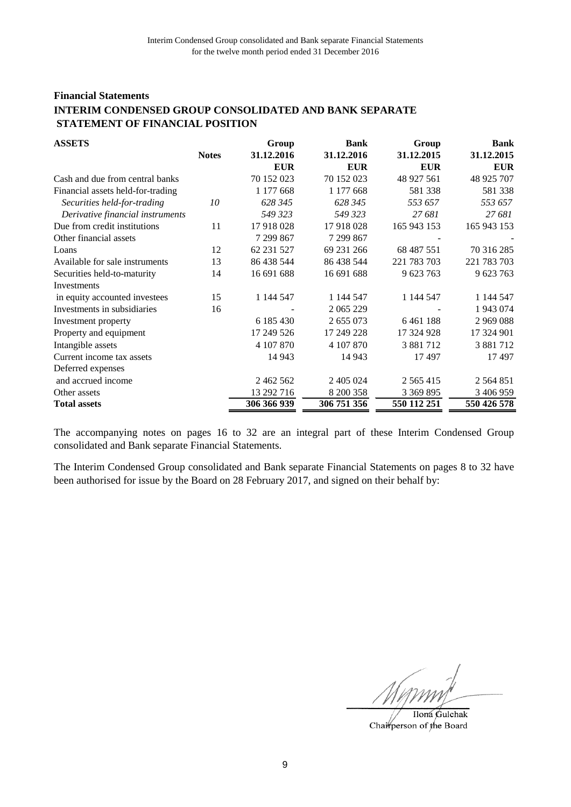# **Financial Statements INTERIM CONDENSED GROUP CONSOLIDATED AND BANK SEPARATE STATEMENT OF FINANCIAL POSITION**

| <b>ASSETS</b>                     |              | Group       | <b>Bank</b> | Group         | <b>Bank</b>   |
|-----------------------------------|--------------|-------------|-------------|---------------|---------------|
|                                   | <b>Notes</b> | 31.12.2016  | 31.12.2016  | 31.12.2015    | 31.12.2015    |
|                                   |              | <b>EUR</b>  | <b>EUR</b>  | <b>EUR</b>    | <b>EUR</b>    |
| Cash and due from central banks   |              | 70 152 023  | 70 152 023  | 48 927 561    | 48 925 707    |
| Financial assets held-for-trading |              | 1 177 668   | 1 177 668   | 581 338       | 581 338       |
| Securities held-for-trading       | 10           | 628 345     | 628 345     | 553 657       | 553 657       |
| Derivative financial instruments  |              | 549 323     | 549 323     | 27 681        | 27 681        |
| Due from credit institutions      | 11           | 17 918 028  | 17918028    | 165 943 153   | 165 943 153   |
| Other financial assets            |              | 7 299 867   | 7 299 867   |               |               |
| Loans                             | 12           | 62 231 527  | 69 231 266  | 68 487 551    | 70 316 285    |
| Available for sale instruments    | 13           | 86 438 544  | 86 438 544  | 221 783 703   | 221 783 703   |
| Securities held-to-maturity       | 14           | 16 691 688  | 16 691 688  | 9 623 763     | 9 623 763     |
| Investments                       |              |             |             |               |               |
| in equity accounted investees     | 15           | 1 144 547   | 1 144 547   | 1 144 547     | 1 144 547     |
| Investments in subsidiaries       | 16           |             | 2 065 229   |               | 1 943 074     |
| Investment property               |              | 6 185 430   | 2 655 073   | 6461188       | 2969088       |
| Property and equipment            |              | 17 249 526  | 17 249 228  | 17 324 928    | 17 324 901    |
| Intangible assets                 |              | 4 107 870   | 4 107 870   | 3 881 712     | 3 881 712     |
| Current income tax assets         |              | 14 943      | 14 943      | 17 497        | 17497         |
| Deferred expenses                 |              |             |             |               |               |
| and accrued income                |              | 2 462 562   | 2 405 024   | 2 5 6 5 4 1 5 | 2 5 6 4 8 5 1 |
| Other assets                      |              | 13 292 716  | 8 200 358   | 3 369 895     | 3 406 959     |
| <b>Total assets</b>               |              | 306 366 939 | 306 751 356 | 550 112 251   | 550 426 578   |

The accompanying notes on pages 16 to 32 are an integral part of these Interim Condensed Group consolidated and Bank separate Financial Statements.

Ilona Gulchak Chairperson of the Board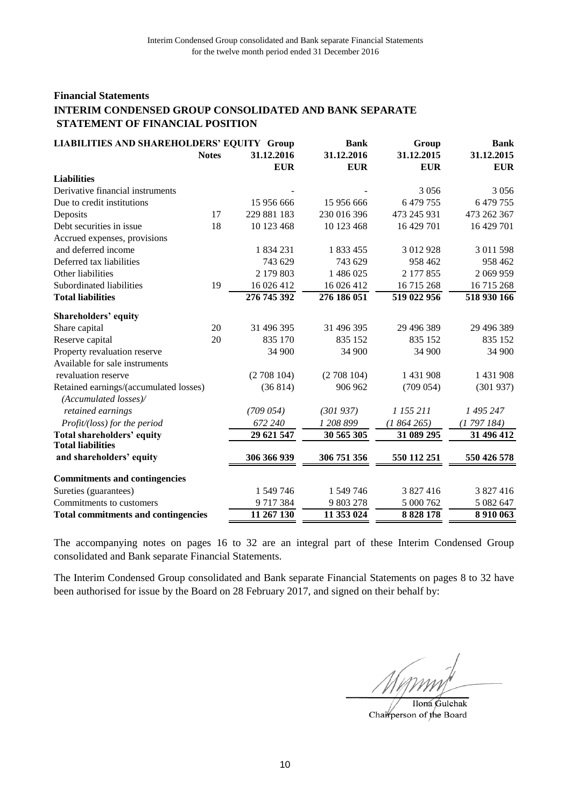# **Financial Statements INTERIM CONDENSED GROUP CONSOLIDATED AND BANK SEPARATE STATEMENT OF FINANCIAL POSITION**

| <b>LIABILITIES AND SHAREHOLDERS' EQUITY Group</b>               |              | <b>Bank</b> | Group       | <b>Bank</b> |             |
|-----------------------------------------------------------------|--------------|-------------|-------------|-------------|-------------|
|                                                                 | <b>Notes</b> | 31.12.2016  | 31.12.2016  | 31.12.2015  | 31.12.2015  |
|                                                                 |              | <b>EUR</b>  | <b>EUR</b>  | <b>EUR</b>  | <b>EUR</b>  |
| <b>Liabilities</b>                                              |              |             |             |             |             |
| Derivative financial instruments                                |              |             |             | 3 0 5 6     | 3 0 5 6     |
| Due to credit institutions                                      |              | 15 956 666  | 15 956 666  | 6479755     | 6 479 755   |
| Deposits                                                        | 17           | 229 881 183 | 230 016 396 | 473 245 931 | 473 262 367 |
| Debt securities in issue                                        | 18           | 10 123 468  | 10 123 468  | 16 429 701  | 16 429 701  |
| Accrued expenses, provisions                                    |              |             |             |             |             |
| and deferred income                                             |              | 1834231     | 1 833 455   | 3 012 928   | 3 011 598   |
| Deferred tax liabilities                                        |              | 743 629     | 743 629     | 958 462     | 958 462     |
| Other liabilities                                               |              | 2 179 803   | 1 486 025   | 2 177 855   | 2 069 959   |
| Subordinated liabilities                                        | 19           | 16 026 412  | 16 026 412  | 16 715 268  | 16 715 268  |
| <b>Total liabilities</b>                                        |              | 276 745 392 | 276 186 051 | 519 022 956 | 518 930 166 |
| Shareholders' equity                                            |              |             |             |             |             |
| Share capital                                                   | 20           | 31 496 395  | 31 496 395  | 29 496 389  | 29 49 6 389 |
| Reserve capital                                                 | 20           | 835 170     | 835 152     | 835 152     | 835 152     |
| Property revaluation reserve                                    |              | 34 900      | 34 900      | 34 900      | 34 900      |
| Available for sale instruments                                  |              |             |             |             |             |
| revaluation reserve                                             |              | (2708104)   | (2708104)   | 1 431 908   | 1 431 908   |
| Retained earnings/(accumulated losses)<br>(Accumulated losses)/ |              | (36814)     | 906 962     | (709 054)   | (301937)    |
| retained earnings                                               |              | (709054)    | (301937)    | 1 155 211   | 1 495 247   |
| Profit/(loss) for the period                                    |              | 672 240     | 1 208 899   | (1864265)   | (1797184)   |
| <b>Total shareholders' equity</b>                               |              | 29 621 547  | 30 565 305  | 31 089 295  | 31 496 412  |
| <b>Total liabilities</b>                                        |              |             |             |             |             |
| and shareholders' equity                                        |              | 306 366 939 | 306 751 356 | 550 112 251 | 550 426 578 |
| <b>Commitments and contingencies</b>                            |              |             |             |             |             |
| Sureties (guarantees)                                           |              | 1 549 746   | 1 549 746   | 3 827 416   | 3 827 416   |
| Commitments to customers                                        |              | 9717384     | 9 803 278   | 5 000 762   | 5 082 647   |
| <b>Total commitments and contingencies</b>                      |              | 11 267 130  | 11 353 024  | 8 8 28 1 78 | 8 9 10 0 63 |

The accompanying notes on pages 16 to 32 are an integral part of these Interim Condensed Group consolidated and Bank separate Financial Statements.

Ilona Gulchak Chairperson of the Board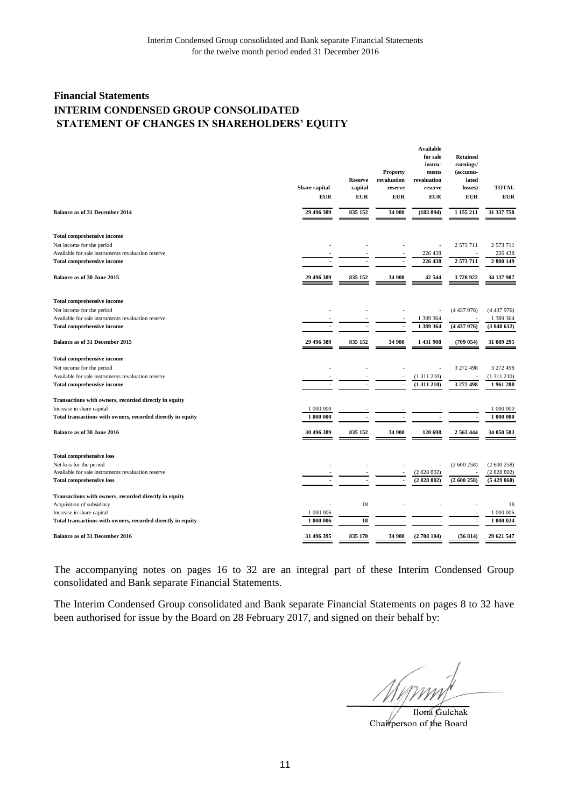# **Financial Statements INTERIM CONDENSED GROUP CONSOLIDATED STATEMENT OF CHANGES IN SHAREHOLDERS' EQUITY**

|                                                             | Share capital<br><b>EUR</b> | <b>Reserve</b><br>capital<br><b>EUR</b> | <b>Property</b><br>revaluation<br>reserve<br><b>EUR</b> | <b>Available</b><br>for sale<br>instru-<br>ments<br>revaluation<br>reserve<br><b>EUR</b> | <b>Retained</b><br>earnings/<br>(accumu-<br>lated<br>losses)<br><b>EUR</b> | <b>TOTAL</b><br><b>EUR</b> |
|-------------------------------------------------------------|-----------------------------|-----------------------------------------|---------------------------------------------------------|------------------------------------------------------------------------------------------|----------------------------------------------------------------------------|----------------------------|
| <b>Balance as of 31 December 2014</b>                       | 29 496 389                  | 835 152                                 | 34 900                                                  | (183894)                                                                                 | 1 155 211                                                                  | 31 337 758                 |
| Total comprehensive income                                  |                             |                                         |                                                         |                                                                                          |                                                                            |                            |
| Net income for the period                                   |                             |                                         |                                                         |                                                                                          | 2 573 711                                                                  | 2 573 711                  |
| Available for sale instruments revaluation reserve          |                             |                                         |                                                         | 226 438                                                                                  |                                                                            | 226 438                    |
| Total comprehensive income                                  |                             |                                         |                                                         | 226 438                                                                                  | 2573711                                                                    | 2800149                    |
| Balance as of 30 June 2015                                  | 29 496 389                  | 835 152                                 | 34 900                                                  | 42 544                                                                                   | 3728922                                                                    | 34 137 907                 |
| <b>Total comprehensive income</b>                           |                             |                                         |                                                         |                                                                                          |                                                                            |                            |
| Net income for the period                                   |                             |                                         |                                                         |                                                                                          | (4437976)                                                                  | (4437976)                  |
| Available for sale instruments revaluation reserve          |                             |                                         |                                                         | 1 389 364                                                                                |                                                                            | 1 389 364                  |
| Total comprehensive income                                  |                             |                                         | $\overline{\phantom{a}}$                                | 1 389 364                                                                                | (4437976)                                                                  | (3048612)                  |
| Balance as of 31 December 2015                              | 29 496 389                  | 835 152                                 | 34 900                                                  | 1 431 908                                                                                | (709 054)                                                                  | 31 089 295                 |
| <b>Total comprehensive income</b>                           |                             |                                         |                                                         |                                                                                          |                                                                            |                            |
| Net income for the period                                   |                             |                                         |                                                         |                                                                                          | 3 272 498                                                                  | 3 272 498                  |
| Available for sale instruments revaluation reserve          |                             |                                         |                                                         | (1311210)                                                                                | ÷,                                                                         | (1311210)                  |
| Total comprehensive income                                  |                             |                                         |                                                         | (1311210)                                                                                | 3 272 498                                                                  | 1961288                    |
|                                                             |                             |                                         |                                                         |                                                                                          |                                                                            |                            |
| Transactions with owners, recorded directly in equity       |                             |                                         |                                                         |                                                                                          |                                                                            |                            |
| Increase in share capital                                   | 1 000 000                   |                                         |                                                         |                                                                                          |                                                                            | 1 000 000                  |
| Total transactions with owners, recorded directly in equity | 1 000 000                   |                                         |                                                         |                                                                                          |                                                                            | 1 000 000                  |
| Balance as of 30 June 2016                                  | 30 496 389                  | 835 152                                 | 34 900                                                  | 120 698                                                                                  | 2 563 444                                                                  | 34 050 583                 |
| <b>Total comprehensive loss</b>                             |                             |                                         |                                                         |                                                                                          |                                                                            |                            |
| Net loss for the period                                     |                             |                                         |                                                         |                                                                                          | (2600258)                                                                  | (2600258)                  |
| Available for sale instruments revaluation reserve          |                             |                                         |                                                         | (2828802)                                                                                |                                                                            | (2828802)                  |
| <b>Total comprehensive loss</b>                             |                             | $\overline{\phantom{a}}$                |                                                         | (2828802)                                                                                | (2600258)                                                                  | (5429060)                  |
| Transactions with owners, recorded directly in equity       |                             |                                         |                                                         |                                                                                          |                                                                            |                            |
| Acquisition of subsidiary                                   |                             | 18                                      |                                                         |                                                                                          |                                                                            | 18                         |
| Increase in share capital                                   | 1 000 006                   |                                         |                                                         |                                                                                          |                                                                            | 1 000 006                  |
| Total transactions with owners, recorded directly in equity | 1 000 006                   | 18                                      |                                                         |                                                                                          |                                                                            | 1 000 024                  |
| Balance as of 31 December 2016                              | 31 496 395                  | 835 170                                 | 34 900                                                  | (2708104)                                                                                | (36814)                                                                    | 29 621 547                 |

The accompanying notes on pages 16 to 32 are an integral part of these Interim Condensed Group consolidated and Bank separate Financial Statements.

Ilona Gulchak Chairperson of the Board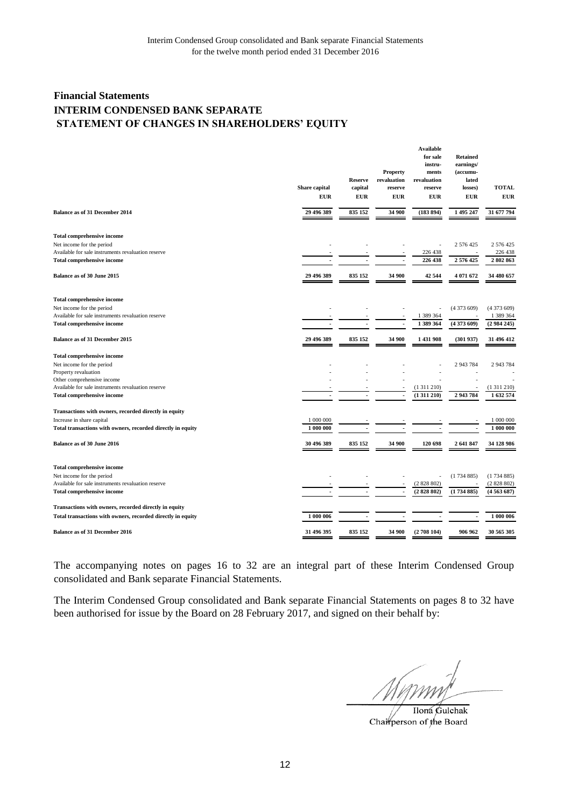# **Financial Statements INTERIM CONDENSED BANK SEPARATE STATEMENT OF CHANGES IN SHAREHOLDERS' EQUITY**

|                                                                                 | Share capital<br><b>EUR</b> | <b>Reserve</b><br>capital<br><b>EUR</b> | <b>Property</b><br>revaluation<br>reserve<br><b>EUR</b> | <b>Available</b><br>for sale<br>instru-<br>ments<br>revaluation<br>reserve<br>EUR | <b>Retained</b><br>earnings/<br>(accumu-<br>lated<br>losses)<br><b>EUR</b> | <b>TOTAL</b><br><b>EUR</b> |
|---------------------------------------------------------------------------------|-----------------------------|-----------------------------------------|---------------------------------------------------------|-----------------------------------------------------------------------------------|----------------------------------------------------------------------------|----------------------------|
| Balance as of 31 December 2014                                                  | 29 496 389                  | 835 152                                 | 34 900                                                  | (183 894)                                                                         | 1 495 247                                                                  | 31 677 794                 |
| <b>Total comprehensive income</b>                                               |                             |                                         |                                                         |                                                                                   |                                                                            |                            |
| Net income for the period                                                       |                             |                                         |                                                         |                                                                                   | 2 576 425                                                                  | 2 576 425                  |
| Available for sale instruments revaluation reserve                              |                             |                                         |                                                         | 226 438                                                                           |                                                                            | 226 438                    |
| <b>Total comprehensive income</b>                                               |                             |                                         |                                                         | 226 438                                                                           | 2576425                                                                    | 2802863                    |
| Balance as of 30 June 2015                                                      | 29 496 389                  | 835 152                                 | 34 900                                                  | 42 544                                                                            | 4 071 672                                                                  | 34 480 657                 |
| <b>Total comprehensive income</b>                                               |                             |                                         |                                                         |                                                                                   |                                                                            |                            |
| Net income for the period                                                       |                             |                                         |                                                         |                                                                                   | (4373609)                                                                  | (4373609)                  |
| Available for sale instruments revaluation reserve                              |                             |                                         |                                                         | 1 389 364                                                                         |                                                                            | 1 389 364                  |
| Total comprehensive income                                                      |                             |                                         | $\overline{\phantom{a}}$                                | 1 389 364                                                                         | (4373609)                                                                  | (2984245)                  |
| Balance as of 31 December 2015                                                  | 29 496 389                  | 835 152                                 | 34 900                                                  | 1 431 908                                                                         | (301937)                                                                   | 31 496 412                 |
| <b>Total comprehensive income</b>                                               |                             |                                         |                                                         |                                                                                   |                                                                            |                            |
| Net income for the period                                                       |                             |                                         |                                                         |                                                                                   | 2 943 784                                                                  | 2 943 784                  |
| Property revaluation                                                            |                             |                                         |                                                         |                                                                                   |                                                                            |                            |
| Other comprehensive income                                                      |                             |                                         |                                                         |                                                                                   |                                                                            |                            |
| Available for sale instruments revaluation reserve                              |                             |                                         |                                                         | (1311210)                                                                         |                                                                            | (1311210)                  |
| <b>Total comprehensive income</b>                                               | ÷                           | ٠                                       | $\blacksquare$                                          | (1311210)                                                                         | 2 943 784                                                                  | 1632574                    |
| Transactions with owners, recorded directly in equity                           |                             |                                         |                                                         |                                                                                   |                                                                            |                            |
| Increase in share capital                                                       | 1 000 000                   |                                         |                                                         |                                                                                   |                                                                            | 1 000 000                  |
| Total transactions with owners, recorded directly in equity                     | 1 000 000                   |                                         |                                                         |                                                                                   |                                                                            | 1 000 000                  |
| Balance as of 30 June 2016                                                      | 30 496 389                  | 835 152                                 | 34 900                                                  | 120 698                                                                           | 2 641 847                                                                  | 34 128 986                 |
|                                                                                 |                             |                                         |                                                         |                                                                                   |                                                                            |                            |
| <b>Total comprehensive income</b>                                               |                             |                                         |                                                         |                                                                                   |                                                                            |                            |
| Net income for the period<br>Available for sale instruments revaluation reserve |                             |                                         |                                                         | (2828802)                                                                         | (1734885)                                                                  | (1734885)<br>(2828802)     |
|                                                                                 |                             | $\overline{\phantom{a}}$                | $\overline{\phantom{a}}$                                | (2828802)                                                                         | (1734885)                                                                  | (4563687)                  |
| <b>Total comprehensive income</b>                                               |                             |                                         |                                                         |                                                                                   |                                                                            |                            |
| Transactions with owners, recorded directly in equity                           |                             |                                         |                                                         |                                                                                   |                                                                            |                            |
| Total transactions with owners, recorded directly in equity                     | 1 000 006                   | $\overline{\phantom{a}}$                | ٠                                                       |                                                                                   | $\blacksquare$                                                             | 1 000 006                  |
| <b>Balance as of 31 December 2016</b>                                           | 31 496 395                  | 835 152                                 | 34 900                                                  | (2708104)                                                                         | 906 962                                                                    | 30 565 305                 |
|                                                                                 |                             |                                         |                                                         |                                                                                   |                                                                            |                            |

The accompanying notes on pages 16 to 32 are an integral part of these Interim Condensed Group consolidated and Bank separate Financial Statements.

Ilona Gulchak Chairperson of the Board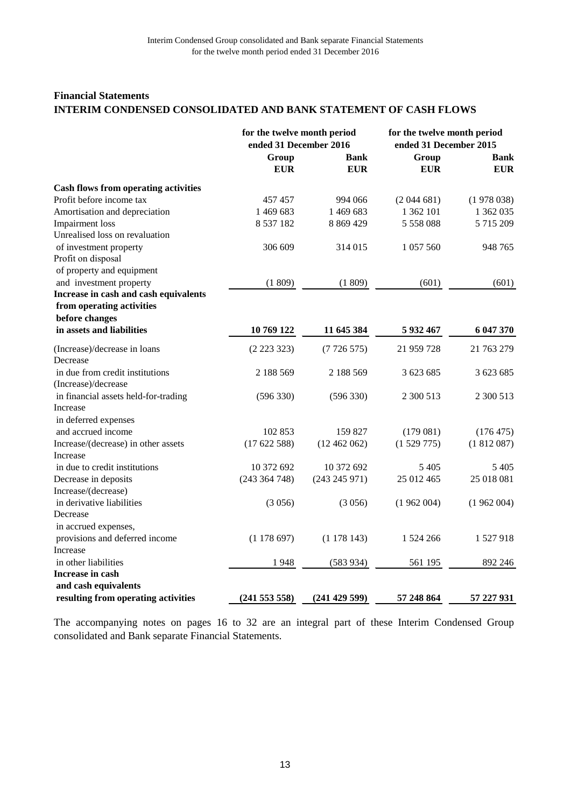## **Financial Statements INTERIM CONDENSED CONSOLIDATED AND BANK STATEMENT OF CASH FLOWS**

|                                             | for the twelve month period<br>ended 31 December 2016 |                           | for the twelve month period<br>ended 31 December 2015 |                           |
|---------------------------------------------|-------------------------------------------------------|---------------------------|-------------------------------------------------------|---------------------------|
|                                             | Group<br><b>EUR</b>                                   | <b>Bank</b><br><b>EUR</b> | Group<br><b>EUR</b>                                   | <b>Bank</b><br><b>EUR</b> |
| <b>Cash flows from operating activities</b> |                                                       |                           |                                                       |                           |
| Profit before income tax                    | 457457                                                | 994 066                   | (2044681)                                             | (1978038)                 |
| Amortisation and depreciation               | 1469683                                               | 1 469 683                 | 1 362 101                                             | 1 362 035                 |
| <b>Impairment</b> loss                      | 8 5 3 7 1 8 2                                         | 8 869 429                 | 5 558 088                                             | 5 715 209                 |
| Unrealised loss on revaluation              |                                                       |                           |                                                       |                           |
| of investment property                      | 306 609                                               | 314 015                   | 1 057 560                                             | 948 765                   |
| Profit on disposal                          |                                                       |                           |                                                       |                           |
| of property and equipment                   |                                                       |                           |                                                       |                           |
| and investment property                     | (1809)                                                | (1809)                    | (601)                                                 | (601)                     |
| Increase in cash and cash equivalents       |                                                       |                           |                                                       |                           |
| from operating activities                   |                                                       |                           |                                                       |                           |
| before changes                              |                                                       |                           |                                                       |                           |
| in assets and liabilities                   | 10 769 122                                            | 11 645 384                | 5 932 467                                             | 6 047 370                 |
| (Increase)/decrease in loans                | (2223323)                                             | (7726575)                 | 21 959 728                                            | 21 763 279                |
| Decrease                                    |                                                       |                           |                                                       |                           |
| in due from credit institutions             | 2 188 569                                             | 2 188 569                 | 3 623 685                                             | 3 623 685                 |
| (Increase)/decrease                         |                                                       |                           |                                                       |                           |
| in financial assets held-for-trading        | (596 330)                                             | (596 330)                 | 2 300 513                                             | 2 300 513                 |
| Increase                                    |                                                       |                           |                                                       |                           |
| in deferred expenses                        |                                                       |                           |                                                       |                           |
| and accrued income                          | 102 853                                               | 159 827                   | (179081)                                              | (176 475)                 |
| Increase/(decrease) in other assets         | (17622588)                                            | (12462062)                | (1529775)                                             | (1812087)                 |
| Increase                                    |                                                       |                           |                                                       |                           |
| in due to credit institutions               | 10 372 692                                            | 10 372 692                | 5405                                                  | 5405                      |
| Decrease in deposits                        | (243 364 748)                                         | (243 245 971)             | 25 012 465                                            | 25 018 081                |
| Increase/(decrease)                         |                                                       |                           |                                                       |                           |
| in derivative liabilities                   | (3056)                                                | (3056)                    | (1962004)                                             | (1962004)                 |
| Decrease                                    |                                                       |                           |                                                       |                           |
| in accrued expenses,                        |                                                       |                           |                                                       |                           |
| provisions and deferred income              | (1178697)                                             | (1178143)                 | 1 524 266                                             | 1527918                   |
| Increase                                    |                                                       |                           |                                                       |                           |
| in other liabilities                        | 1948                                                  | (583934)                  | 561 195                                               | 892 246                   |
| Increase in cash                            |                                                       |                           |                                                       |                           |
| and cash equivalents                        |                                                       |                           |                                                       |                           |
| resulting from operating activities         | (241553558)                                           | (241 429 599)             | 57 248 864                                            | 57 227 931                |

The accompanying notes on pages 16 to 32 are an integral part of these Interim Condensed Group consolidated and Bank separate Financial Statements.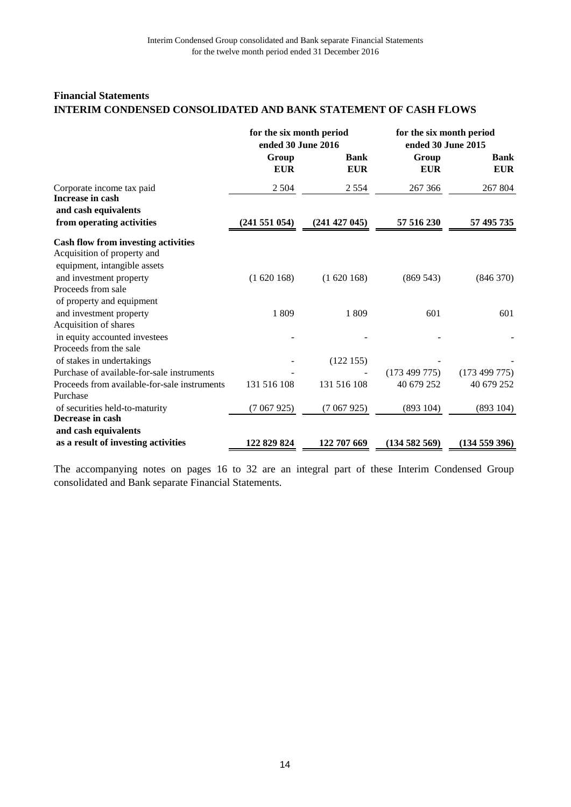## **Financial Statements INTERIM CONDENSED CONSOLIDATED AND BANK STATEMENT OF CASH FLOWS**

|                                                                               | for the six month period<br>ended 30 June 2016 |                           | for the six month period<br>ended 30 June 2015 |                           |  |
|-------------------------------------------------------------------------------|------------------------------------------------|---------------------------|------------------------------------------------|---------------------------|--|
|                                                                               | Group<br><b>EUR</b>                            | <b>Bank</b><br><b>EUR</b> | Group<br><b>EUR</b>                            | <b>Bank</b><br><b>EUR</b> |  |
| Corporate income tax paid<br>Increase in cash                                 | 2 5 0 4                                        | 2 5 5 4                   | 267 366                                        | 267 804                   |  |
| and cash equivalents                                                          |                                                |                           |                                                |                           |  |
| from operating activities                                                     | (241551054)                                    | (241 427 045)             | 57 516 230                                     | 57 495 735                |  |
| <b>Cash flow from investing activities</b><br>Acquisition of property and     |                                                |                           |                                                |                           |  |
| equipment, intangible assets<br>and investment property<br>Proceeds from sale | (1620168)                                      | (1620168)                 | (869543)                                       | (846 370)                 |  |
| of property and equipment                                                     |                                                |                           |                                                |                           |  |
| and investment property                                                       | 1 809                                          | 1 809                     | 601                                            | 601                       |  |
| Acquisition of shares                                                         |                                                |                           |                                                |                           |  |
| in equity accounted investees                                                 |                                                |                           |                                                |                           |  |
| Proceeds from the sale                                                        |                                                |                           |                                                |                           |  |
| of stakes in undertakings                                                     |                                                | (122155)                  |                                                |                           |  |
| Purchase of available-for-sale instruments                                    |                                                |                           | (173 499 775)                                  | (173 499 775)             |  |
| Proceeds from available-for-sale instruments                                  | 131 516 108                                    | 131 516 108               | 40 679 252                                     | 40 679 252                |  |
| Purchase                                                                      |                                                |                           |                                                |                           |  |
| of securities held-to-maturity                                                | (7067925)                                      | (7067925)                 | (893104)                                       | (893104)                  |  |
| Decrease in cash                                                              |                                                |                           |                                                |                           |  |
| and cash equivalents                                                          |                                                |                           |                                                |                           |  |
| as a result of investing activities                                           | 122 829 824                                    | 122 707 669               | (134582569)                                    | (134559396)               |  |

The accompanying notes on pages 16 to 32 are an integral part of these Interim Condensed Group consolidated and Bank separate Financial Statements.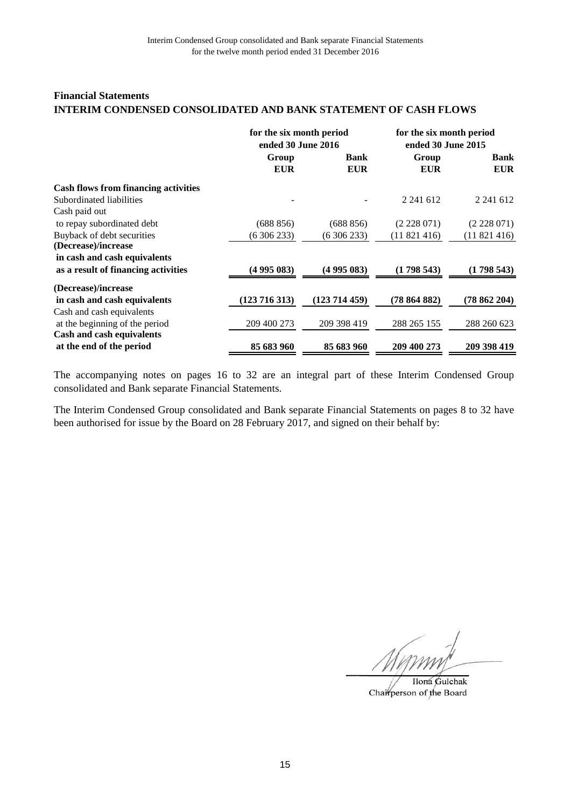## **Financial Statements INTERIM CONDENSED CONSOLIDATED AND BANK STATEMENT OF CASH FLOWS**

|                                             | for the six month period<br>ended 30 June 2016 |             | for the six month period<br>ended 30 June 2015 |             |  |
|---------------------------------------------|------------------------------------------------|-------------|------------------------------------------------|-------------|--|
|                                             | Group                                          | <b>Bank</b> | Group                                          | <b>Bank</b> |  |
|                                             | <b>EUR</b>                                     | <b>EUR</b>  | <b>EUR</b>                                     | <b>EUR</b>  |  |
| <b>Cash flows from financing activities</b> |                                                |             |                                                |             |  |
| Subordinated liabilities                    |                                                |             | 2 241 612                                      | 2 241 612   |  |
| Cash paid out                               |                                                |             |                                                |             |  |
| to repay subordinated debt                  | (688 856)                                      | (688 856)   | (2228071)                                      | (2228071)   |  |
| Buyback of debt securities                  | (6306233)                                      | (6306233)   | (11821416)                                     | (11821416)  |  |
| (Decrease)/increase                         |                                                |             |                                                |             |  |
| in cash and cash equivalents                |                                                |             |                                                |             |  |
| as a result of financing activities         | (4 995 083)                                    | (4 995 083) | (1798543)                                      | (1798543)   |  |
| (Decrease)/increase                         |                                                |             |                                                |             |  |
| in cash and cash equivalents                | (123 716 313)                                  | (123714459) | (78864882)                                     | (78862204)  |  |
| Cash and cash equivalents                   |                                                |             |                                                |             |  |
| at the beginning of the period              | 209 400 273                                    | 209 398 419 | 288 265 155                                    | 288 260 623 |  |
| Cash and cash equivalents                   |                                                |             |                                                |             |  |
| at the end of the period                    | 85 683 960                                     | 85 683 960  | 209 400 273                                    | 209 398 419 |  |

The accompanying notes on pages 16 to 32 are an integral part of these Interim Condensed Group consolidated and Bank separate Financial Statements.

Ilona Gulchak Chairperson of the Board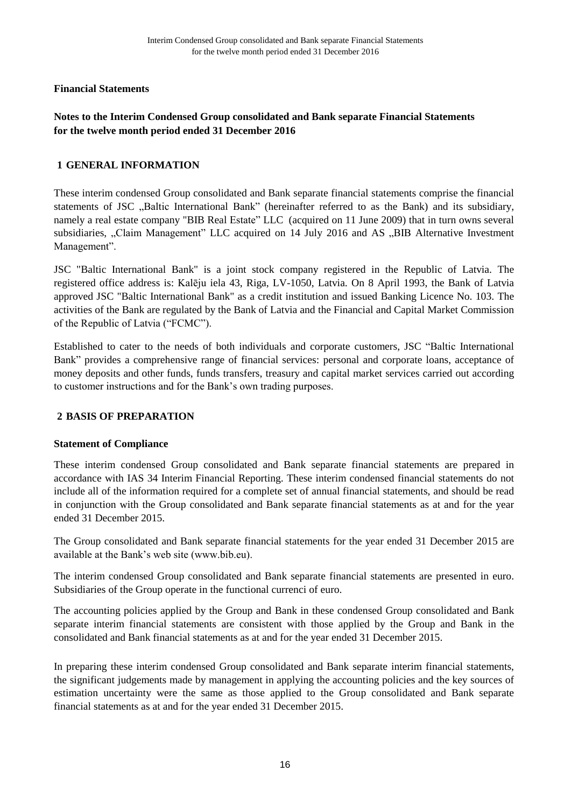# **Notes to the Interim Condensed Group consolidated and Bank separate Financial Statements for the twelve month period ended 31 December 2016**

## **GENERAL INFORMATION 1**

These interim condensed Group consolidated and Bank separate financial statements comprise the financial statements of JSC ..Baltic International Bank" (hereinafter referred to as the Bank) and its subsidiary, namely a real estate company "BIB Real Estate" LLC (acquired on 11 June 2009) that in turn owns several subsidiaries, "Claim Management" LLC acquired on 14 July 2016 and AS "BIB Alternative Investment Management".

JSC "Baltic International Bank" is a joint stock company registered in the Republic of Latvia. The registered office address is: Kalēju iela 43, Riga, LV-1050, Latvia. On 8 April 1993, the Bank of Latvia approved JSC "Baltic International Bank" as a credit institution and issued Banking Licence No. 103. The activities of the Bank are regulated by the Bank of Latvia and the Financial and Capital Market Commission of the Republic of Latvia ("FCMC").

Established to cater to the needs of both individuals and corporate customers, JSC "Baltic International Bank" provides a comprehensive range of financial services: personal and corporate loans, acceptance of money deposits and other funds, funds transfers, treasury and capital market services carried out according to customer instructions and for the Bank's own trading purposes.

## **BASIS OF PREPARATION 2**

## **Statement of Compliance**

These interim condensed Group consolidated and Bank separate financial statements are prepared in accordance with IAS 34 Interim Financial Reporting. These interim condensed financial statements do not include all of the information required for a complete set of annual financial statements, and should be read in conjunction with the Group consolidated and Bank separate financial statements as at and for the year ended 31 December 2015.

The Group consolidated and Bank separate financial statements for the year ended 31 December 2015 are available at the Bank's web site (www.bib.eu).

The interim condensed Group consolidated and Bank separate financial statements are presented in euro. Subsidiaries of the Group operate in the functional currenci of euro.

The accounting policies applied by the Group and Bank in these condensed Group consolidated and Bank separate interim financial statements are consistent with those applied by the Group and Bank in the consolidated and Bank financial statements as at and for the year ended 31 December 2015.

In preparing these interim condensed Group consolidated and Bank separate interim financial statements, the significant judgements made by management in applying the accounting policies and the key sources of estimation uncertainty were the same as those applied to the Group consolidated and Bank separate financial statements as at and for the year ended 31 December 2015.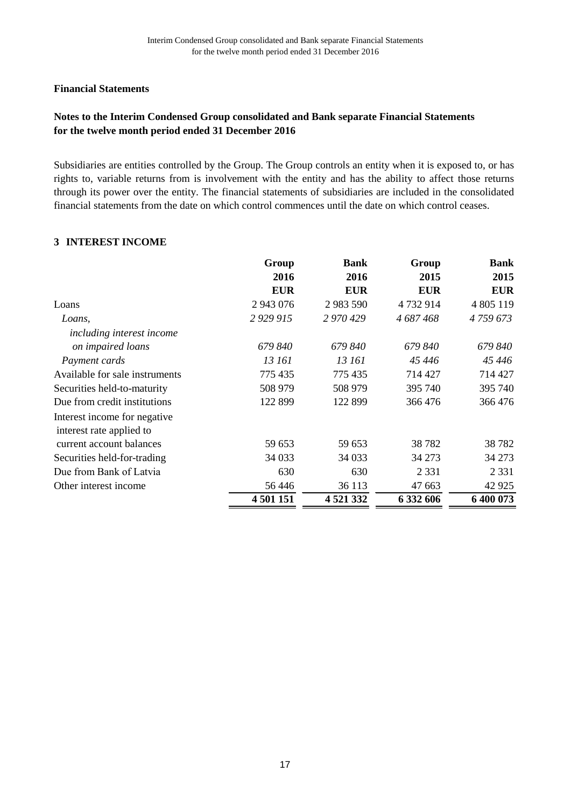# **Notes to the Interim Condensed Group consolidated and Bank separate Financial Statements for the twelve month period ended 31 December 2016**

Subsidiaries are entities controlled by the Group. The Group controls an entity when it is exposed to, or has rights to, variable returns from is involvement with the entity and has the ability to affect those returns through its power over the entity. The financial statements of subsidiaries are included in the consolidated financial statements from the date on which control commences until the date on which control ceases.

#### **INTEREST INCOME 3**

|                                | Group       | <b>Bank</b> | Group      | <b>Bank</b> |
|--------------------------------|-------------|-------------|------------|-------------|
|                                | 2016        | 2016        | 2015       | 2015        |
|                                | <b>EUR</b>  | <b>EUR</b>  | <b>EUR</b> | <b>EUR</b>  |
| Loans                          | 2 943 076   | 2 983 590   | 4732914    | 4 805 119   |
| Loans,                         | 2 9 29 9 15 | 2 970 429   | 4 687 468  | 4759673     |
| including interest income      |             |             |            |             |
| on impaired loans              | 679 840     | 679840      | 679840     | 679 840     |
| Payment cards                  | 13 161      | 13 161      | 45 446     | 45 446      |
| Available for sale instruments | 775 435     | 775 435     | 714 427    | 714 427     |
| Securities held-to-maturity    | 508 979     | 508 979     | 395 740    | 395 740     |
| Due from credit institutions   | 122 899     | 122 899     | 366 476    | 366476      |
| Interest income for negative   |             |             |            |             |
| interest rate applied to       |             |             |            |             |
| current account balances       | 59 653      | 59 653      | 38782      | 38782       |
| Securities held-for-trading    | 34 0 33     | 34 0 33     | 34 273     | 34 273      |
| Due from Bank of Latvia        | 630         | 630         | 2 3 3 1    | 2 3 3 1     |
| Other interest income          | 56446       | 36 113      | 47 663     | 42 9 25     |
|                                | 4 501 151   | 4 5 21 3 32 | 6 332 606  | 6 400 073   |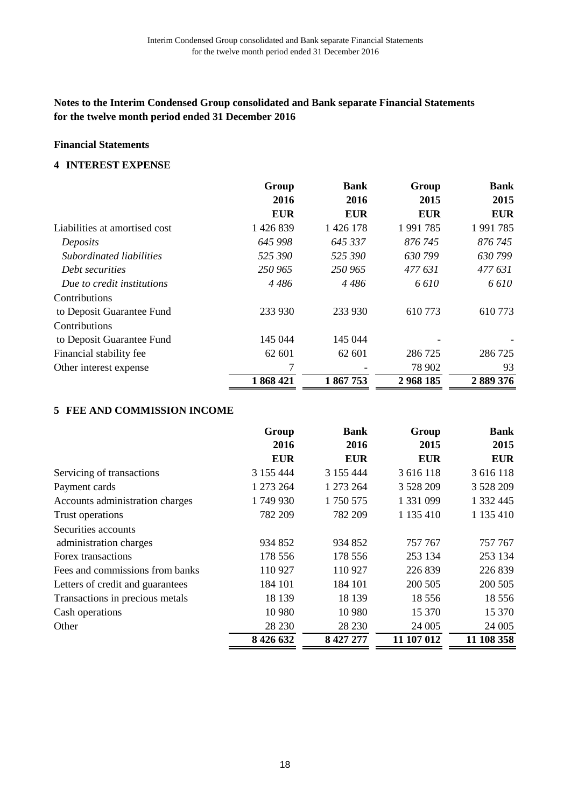# **Financial Statements**

#### **INTEREST EXPENSE 4**

|                               | Group      | <b>Bank</b>   | Group      | <b>Bank</b> |
|-------------------------------|------------|---------------|------------|-------------|
|                               | 2016       | 2016          | 2015       | 2015        |
|                               | <b>EUR</b> | <b>EUR</b>    | <b>EUR</b> | <b>EUR</b>  |
| Liabilities at amortised cost | 1 426 839  | 1 4 2 6 1 7 8 | 1991785    | 1991785     |
| Deposits                      | 645 998    | 645 337       | 876 745    | 876 745     |
| Subordinated liabilities      | 525390     | 525 390       | 630799     | 630799      |
| Debt securities               | 250 965    | 250 965       | 477 631    | 477 631     |
| Due to credit institutions    | 4486       | 4486          | 6610       | 6610        |
| Contributions                 |            |               |            |             |
| to Deposit Guarantee Fund     | 233 930    | 233 930       | 610 773    | 610773      |
| Contributions                 |            |               |            |             |
| to Deposit Guarantee Fund     | 145 044    | 145 044       |            |             |
| Financial stability fee       | 62 601     | 62 601        | 286 725    | 286 725     |
| Other interest expense        | 7          |               | 78 902     | 93          |
|                               | 1868421    | 1867753       | 2968185    | 2889376     |

## **FEE AND COMMISSION INCOME 5**

|                                  | Group         | <b>Bank</b> | Group      | <b>Bank</b> |
|----------------------------------|---------------|-------------|------------|-------------|
|                                  | 2016          | 2016        | 2015       | 2015        |
|                                  | <b>EUR</b>    | <b>EUR</b>  | <b>EUR</b> | <b>EUR</b>  |
| Servicing of transactions        | 3 155 444     | 3 155 444   | 3 616 118  | 3 616 118   |
| Payment cards                    | 1 273 264     | 1 273 264   | 3 5 28 209 | 3 5 28 209  |
| Accounts administration charges  | 1749930       | 1750 575    | 1 331 099  | 1 332 445   |
| Trust operations                 | 782 209       | 782 209     | 1 135 410  | 1 135 410   |
| Securities accounts              |               |             |            |             |
| administration charges           | 934 852       | 934 852     | 757 767    | 757 767     |
| Forex transactions               | 178 556       | 178 556     | 253 134    | 253 134     |
| Fees and commissions from banks  | 110 927       | 110 927     | 226 839    | 226 839     |
| Letters of credit and guarantees | 184 101       | 184 101     | 200 505    | 200 505     |
| Transactions in precious metals  | 18 139        | 18 139      | 18556      | 18556       |
| Cash operations                  | 10 980        | 10 980      | 15 370     | 15 370      |
| Other                            | 28 230        | 28 230      | 24 005     | 24 005      |
|                                  | 8 4 2 6 6 3 2 | 8 427 277   | 11 107 012 | 11 108 358  |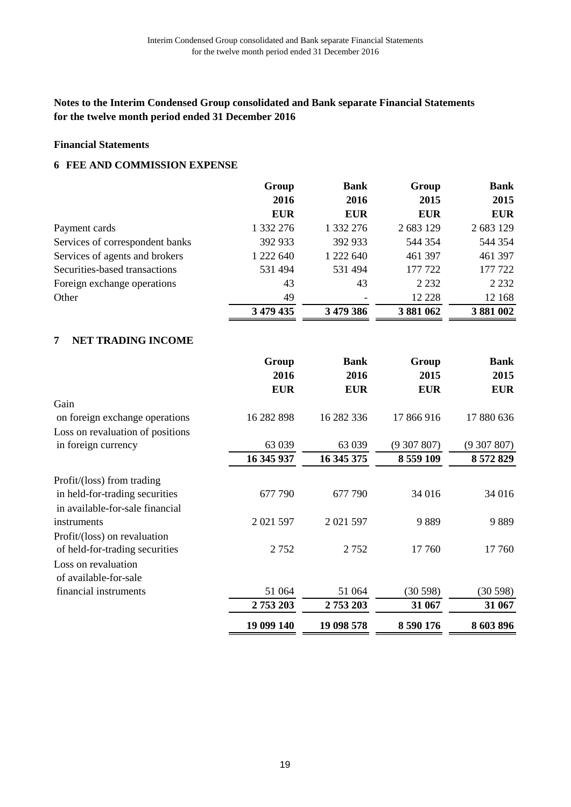# **Financial Statements**

#### **FEE AND COMMISSION EXPENSE 6**

|                                 | Group      | <b>Bank</b> | Group      | <b>Bank</b> |
|---------------------------------|------------|-------------|------------|-------------|
|                                 | 2016       | 2016        | 2015       | 2015        |
|                                 | <b>EUR</b> | <b>EUR</b>  | <b>EUR</b> | <b>EUR</b>  |
| Payment cards                   | 1 332 276  | 1 332 276   | 2 683 129  | 2 683 129   |
| Services of correspondent banks | 392 933    | 392 933     | 544 354    | 544 354     |
| Services of agents and brokers  | 1 222 640  | 1 222 640   | 461 397    | 461 397     |
| Securities-based transactions   | 531 494    | 531 494     | 177 722    | 177 722     |
| Foreign exchange operations     | 43         | 43          | 2 2 3 2    | 2 2 3 2     |
| Other                           | 49         |             | 12 2 2 8   | 12 168      |
|                                 | 3 479 435  | 3 479 386   | 3 881 062  | 3881002     |

## **NET TRADING INCOME 7**

|                                  | Group<br>2016 | <b>Bank</b><br>2016 | Group<br>2015 | Bank<br>2015 |
|----------------------------------|---------------|---------------------|---------------|--------------|
|                                  | <b>EUR</b>    | <b>EUR</b>          | <b>EUR</b>    | <b>EUR</b>   |
| Gain                             |               |                     |               |              |
| on foreign exchange operations   | 16 282 898    | 16 282 336          | 17 866 916    | 17 880 636   |
| Loss on revaluation of positions |               |                     |               |              |
| in foreign currency              | 63 039        | 63 039              | (9307807)     | (9307807)    |
|                                  | 16 345 937    | 16 345 375          | 8 559 109     | 8 572 829    |
| Profit/(loss) from trading       |               |                     |               |              |
| in held-for-trading securities   | 677 790       | 677 790             | 34 016        | 34 016       |
| in available-for-sale financial  |               |                     |               |              |
| instruments                      | 2 021 597     | 2 021 597           | 9889          | 9889         |
| Profit/(loss) on revaluation     |               |                     |               |              |
| of held-for-trading securities   | 2752          | 2752                | 17 760        | 17760        |
| Loss on revaluation              |               |                     |               |              |
| of available-for-sale            |               |                     |               |              |
| financial instruments            | 51 064        | 51 064              | (30598)       | (30598)      |
|                                  | 2753203       | 2753203             | 31 067        | 31 067       |
|                                  | 19 099 140    | 19 098 578          | 8 590 176     | 8 603 896    |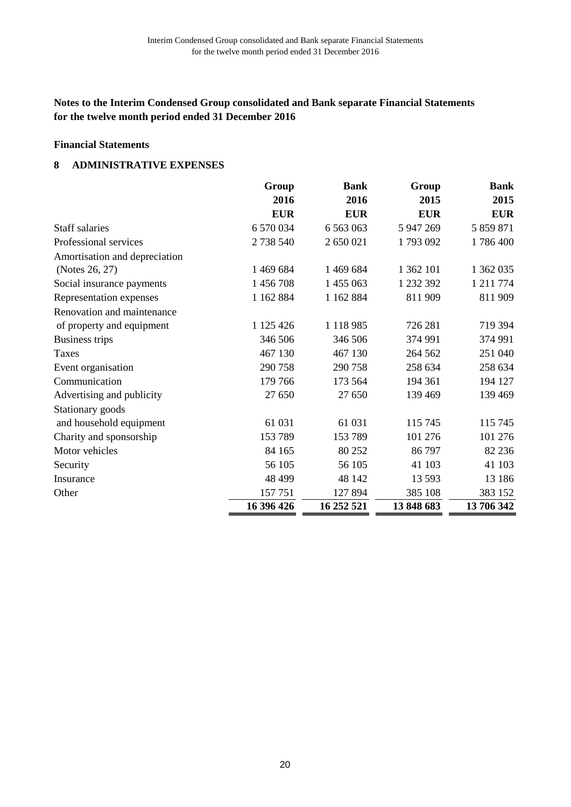# **Financial Statements**

#### **ADMINISTRATIVE EXPENSES 8**

|                               | Group      | <b>Bank</b>   | Group      | <b>Bank</b> |
|-------------------------------|------------|---------------|------------|-------------|
|                               | 2016       | 2016          | 2015       | 2015        |
|                               | <b>EUR</b> | <b>EUR</b>    | <b>EUR</b> | <b>EUR</b>  |
| <b>Staff salaries</b>         | 6 570 034  | 6 5 6 3 0 6 3 | 5 947 269  | 5 859 871   |
| Professional services         | 2 738 540  | 2 650 021     | 1793092    | 1786400     |
| Amortisation and depreciation |            |               |            |             |
| (Notes 26, 27)                | 1 469 684  | 1 469 684     | 1 362 101  | 1 362 035   |
| Social insurance payments     | 1 456 708  | 1 455 063     | 1 232 392  | 1 211 774   |
| Representation expenses       | 1 162 884  | 1 162 884     | 811 909    | 811909      |
| Renovation and maintenance    |            |               |            |             |
| of property and equipment     | 1 125 426  | 1 1 1 8 9 8 5 | 726 281    | 719 394     |
| Business trips                | 346 506    | 346 506       | 374 991    | 374 991     |
| Taxes                         | 467 130    | 467 130       | 264 562    | 251 040     |
| Event organisation            | 290 758    | 290 758       | 258 634    | 258 634     |
| Communication                 | 179 766    | 173 564       | 194 361    | 194 127     |
| Advertising and publicity     | 27 650     | 27 650        | 139 469    | 139 469     |
| Stationary goods              |            |               |            |             |
| and household equipment       | 61 031     | 61 031        | 115 745    | 115 745     |
| Charity and sponsorship       | 153 789    | 153789        | 101 276    | 101 276     |
| Motor vehicles                | 84 165     | 80 25 2       | 86797      | 82 236      |
| Security                      | 56 105     | 56 105        | 41 103     | 41 103      |
| Insurance                     | 48 499     | 48 142        | 13 5 93    | 13 18 6     |
| Other                         | 157751     | 127 894       | 385 108    | 383 152     |
|                               | 16 396 426 | 16 252 521    | 13 848 683 | 13 706 342  |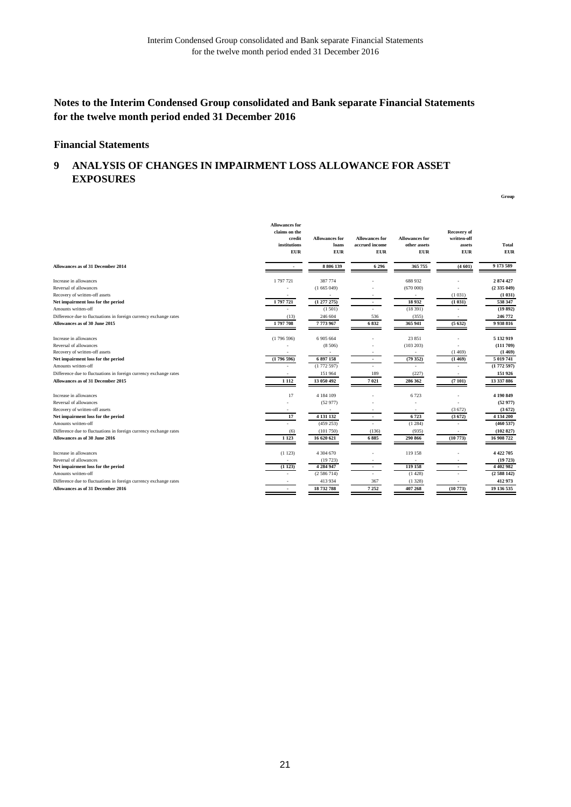**Group**

## **Notes to the Interim Condensed Group consolidated and Bank separate Financial Statements for the twelve month period ended 31 December 2016**

#### **Financial Statements**

#### **ANALYSIS OF CHANGES IN IMPAIRMENT LOSS ALLOWANCE FOR ASSET EXPOSURES 9**

|                                                                   | <b>Allowances for</b><br>claims on the<br>credit<br>institutions<br><b>EUR</b> | <b>Allowances</b> for<br>loans<br><b>EUR</b> | <b>Allowances for</b><br>accrued income<br><b>EUR</b> | <b>Allowances for</b><br>other assets<br><b>EUR</b> | Recovery of<br>written-off<br>assets<br><b>EUR</b> | <b>Total</b><br><b>EUR</b> |
|-------------------------------------------------------------------|--------------------------------------------------------------------------------|----------------------------------------------|-------------------------------------------------------|-----------------------------------------------------|----------------------------------------------------|----------------------------|
| Allowances as of 31 December 2014                                 |                                                                                | 8 806 139                                    | 6296                                                  | 365 755                                             | (4601)                                             | 9 173 589                  |
| Increase in allowances                                            | 1 797 721                                                                      | 387 774                                      |                                                       | 688 932                                             |                                                    | 2874427                    |
| Reversal of allowances                                            |                                                                                | (1665049)                                    |                                                       | (670000)                                            |                                                    | (2335049)                  |
| Recovery of written-off assets                                    |                                                                                |                                              |                                                       |                                                     | (1031)                                             | (1 031)                    |
| Net impairment loss for the period                                | 1797721                                                                        | (1277275)                                    |                                                       | 18932                                               | (1031)                                             | 538 347                    |
| Amounts written-off                                               |                                                                                | (1501)                                       |                                                       | (18391)                                             |                                                    | (19892)                    |
| Difference due to fluctuations in foreign currency exchange rates | (13)                                                                           | 246 604                                      | 536                                                   | (355)                                               |                                                    | 246 772                    |
| Allowances as of 30 June 2015                                     | 1797708                                                                        | 7773967                                      | 6832                                                  | 365 941                                             | (5632)                                             | 9 9 38 8 16                |
| Increase in allowances                                            | (1796596)                                                                      | 6 905 664                                    |                                                       | 23 851                                              |                                                    | 5 132 919                  |
| Reversal of allowances                                            |                                                                                | (8506)                                       |                                                       | (103 203)                                           |                                                    | (111709)                   |
| Recovery of written-off assets                                    |                                                                                | ٠                                            |                                                       | $\sim$                                              | (1469)                                             | (1469)                     |
| Net impairment loss for the period                                | (1796596)                                                                      | 6 897 158                                    | $\overline{\phantom{a}}$                              | (79352)                                             | (1469)                                             | 5 019 741                  |
| Amounts written-off                                               |                                                                                | (1772597)                                    |                                                       |                                                     |                                                    | (1772597)                  |
| Difference due to fluctuations in foreign currency exchange rates |                                                                                | 151 964                                      | 189                                                   | (227)                                               | ٠                                                  | 151 926                    |
| Allowances as of 31 December 2015                                 | 1 1 1 2                                                                        | 13 050 492                                   | 7021                                                  | 286 362                                             | (7101)                                             | 13 337 886                 |
| Increase in allowances                                            | 17                                                                             | 4 184 109                                    |                                                       | 6723                                                |                                                    | 4 190 849                  |
| Reversal of allowances                                            |                                                                                | (52977)                                      |                                                       |                                                     |                                                    | (52977)                    |
| Recovery of written-off assets                                    |                                                                                | $\sim$                                       |                                                       | $\overline{\phantom{a}}$                            | (3672)                                             | (3672)                     |
| Net impairment loss for the period                                | 17                                                                             | 4 131 132                                    | $\overline{\phantom{a}}$                              | 6723                                                | (3672)                                             | 4 134 200                  |
| Amounts written-off                                               |                                                                                | (459 253)                                    |                                                       | (1284)                                              |                                                    | (460537)                   |
| Difference due to fluctuations in foreign currency exchange rates | (6)                                                                            | (101750)                                     | (136)                                                 | (935)                                               |                                                    | (102827)                   |
| Allowances as of 30 June 2016                                     | 1 1 2 3                                                                        | 16 620 621                                   | 6885                                                  | 290 866                                             | (10773)                                            | 16 908 722                 |
| Increase in allowances                                            | (1123)                                                                         | 4 304 670                                    |                                                       | 119 158                                             |                                                    | 4 4 2 7 0 5                |
| Reversal of allowances                                            | $\sim$                                                                         | (19723)                                      |                                                       | $\overline{\phantom{a}}$                            |                                                    | (19723)                    |
| Net impairment loss for the period                                | (1123)                                                                         | 4 2 8 4 9 4 7                                | $\sim$                                                | 119 158                                             |                                                    | 4 402 982                  |
| Amounts written-off                                               |                                                                                | (2586714)                                    |                                                       | (1428)                                              |                                                    | (2588142)                  |
| Difference due to fluctuations in foreign currency exchange rates |                                                                                | 413 934                                      | 367                                                   | (1328)                                              |                                                    | 412 973                    |
| Allowances as of 31 December 2016                                 | ۰                                                                              | 18 732 788                                   | 7 2 5 2                                               | 407 268                                             | (10773)                                            | 19 136 535                 |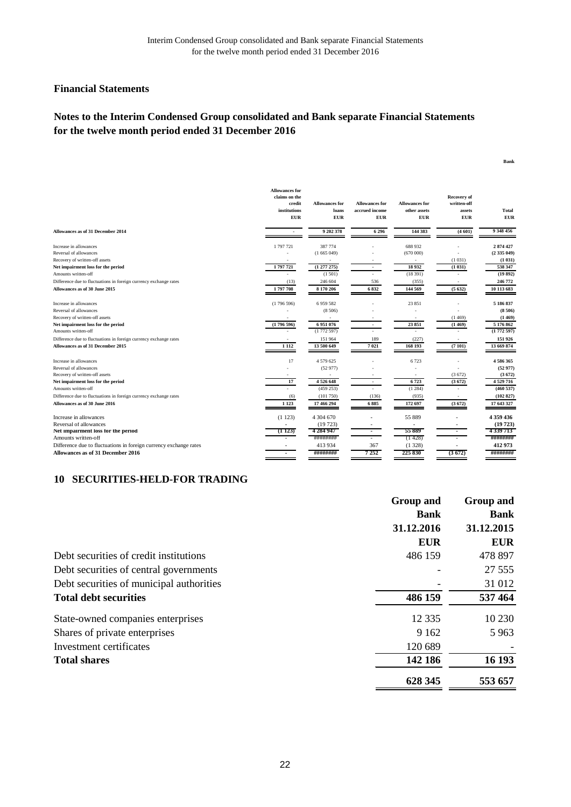**Bank**

#### **Financial Statements**

# **Notes to the Interim Condensed Group consolidated and Bank separate Financial Statements for the twelve month period ended 31 December 2016**

|                                                                   | <b>Allowances for</b><br>claims on the<br>credit<br>institutions<br><b>EUR</b> | <b>Allowances for</b><br>loans<br><b>EUR</b> | <b>Allowances for</b><br>accrued income<br><b>EUR</b> | <b>Allowances for</b><br>other assets<br><b>EUR</b> | <b>Recovery of</b><br>written-off<br>assets<br><b>EUR</b> | <b>Total</b><br><b>EUR</b> |
|-------------------------------------------------------------------|--------------------------------------------------------------------------------|----------------------------------------------|-------------------------------------------------------|-----------------------------------------------------|-----------------------------------------------------------|----------------------------|
| Allowances as of 31 December 2014                                 | $\sim$                                                                         | 9 202 378                                    | 6 2 9 6                                               | 144 383                                             | (4601)                                                    | 9 348 456                  |
| Increase in allowances                                            | 1 797 721                                                                      | 387 774                                      |                                                       | 688 932                                             |                                                           | 2 874 427                  |
| Reversal of allowances                                            |                                                                                | (1665049)                                    |                                                       | (670000)                                            |                                                           | (2335049)                  |
| Recovery of written-off assets                                    |                                                                                |                                              |                                                       | $\sim$                                              | (1031)                                                    | (1 031)                    |
| Net impairment loss for the period                                | 1797721                                                                        | (1277275)                                    | ٠                                                     | 18932                                               | (1031)                                                    | 538 347                    |
| Amounts written-off                                               |                                                                                | (1.501)                                      |                                                       | (18391)                                             |                                                           | (19892)                    |
| Difference due to fluctuations in foreign currency exchange rates | (13)                                                                           | 246 604                                      | 536                                                   | (355)                                               |                                                           | 246 772                    |
| Allowances as of 30 June 2015                                     | 1797708                                                                        | 8 170 206                                    | 6832                                                  | 144 569                                             | (5632)                                                    | 10 113 683                 |
| Increase in allowances                                            | (1796596)                                                                      | 6 9 5 9 5 8 2                                |                                                       | 23 851                                              |                                                           | 5 186 837                  |
| Reversal of allowances                                            |                                                                                | (8506)                                       |                                                       |                                                     |                                                           | (8506)                     |
| Recovery of written-off assets                                    |                                                                                |                                              |                                                       |                                                     | (1469)                                                    | (1469)                     |
| Net impairment loss for the period                                | (1796596)                                                                      | 6951076                                      | $\overline{a}$                                        | 23 851                                              | (1469)                                                    | 5 176 862                  |
| Amounts written-off                                               |                                                                                | (1772597)                                    |                                                       |                                                     |                                                           | (1772597)                  |
| Difference due to fluctuations in foreign currency exchange rates | $\sim$                                                                         | 151 964                                      | 189                                                   | (227)                                               | $\sim$                                                    | 151 926                    |
| Allowances as of 31 December 2015                                 | 1 1 1 2                                                                        | 13 500 649                                   | 7021                                                  | 168 193                                             | (7101)                                                    | 13 669 874                 |
| Increase in allowances                                            | 17                                                                             | 4 579 625                                    |                                                       | 6723                                                |                                                           | 4586365                    |
| Reversal of allowances                                            |                                                                                | (52977)                                      |                                                       |                                                     |                                                           | (52977)                    |
| Recovery of written-off assets                                    |                                                                                |                                              |                                                       |                                                     | (3672)                                                    | (3672)                     |
| Net impairment loss for the period                                | 17                                                                             | 4526648                                      |                                                       | 6723                                                | (3672)                                                    | 4 5 29 7 16                |
| Amounts written-off                                               |                                                                                | (459 253)                                    |                                                       | (1284)                                              |                                                           | (460537)                   |
| Difference due to fluctuations in foreign currency exchange rates | (6)                                                                            | (101750)                                     | (136)                                                 | (935)                                               |                                                           | (102827)                   |
| Allowances as of 30 June 2016                                     | 1 1 2 3                                                                        | 17 466 294                                   | 6885                                                  | 172 697                                             | (3672)                                                    | 17 643 327                 |
| Increase in allowances                                            | (1123)                                                                         | 4 304 670                                    |                                                       | 55 889                                              |                                                           | 4 359 436                  |
| Reversal of allowances                                            | ٠                                                                              | (19723)                                      |                                                       | $\overline{\phantom{a}}$                            |                                                           | (19723)                    |
| Net impairment loss for the period                                | (1123)                                                                         | 4 284 947                                    | ٠                                                     | 55889                                               |                                                           | 4339713                    |
| Amounts written-off                                               |                                                                                | ########                                     |                                                       | (1428)                                              |                                                           | ########                   |
| Difference due to fluctuations in foreign currency exchange rates |                                                                                | 413 934                                      | 367                                                   | (1328)                                              |                                                           | 412 973                    |
| Allowances as of 31 December 2016                                 | ٠                                                                              | ########                                     | 7 2 5 2                                               | 225 830                                             | (3672)                                                    | ########                   |

## **SECURITIES-HELD-FOR TRADING 10**

|                                          | <b>Group and</b> | Group and   |  |
|------------------------------------------|------------------|-------------|--|
|                                          | <b>Bank</b>      | <b>Bank</b> |  |
|                                          | 31.12.2016       | 31.12.2015  |  |
|                                          | <b>EUR</b>       | <b>EUR</b>  |  |
| Debt securities of credit institutions   | 486 159          | 478 897     |  |
| Debt securities of central governments   |                  | 27 5 5 5    |  |
| Debt securities of municipal authorities |                  | 31 012      |  |
| <b>Total debt securities</b>             | 486 159          | 537 464     |  |
| State-owned companies enterprises        | 12 3 3 5         | 10 230      |  |
| Shares of private enterprises            | 9 1 6 2          | 5963        |  |
| Investment certificates                  | 120 689          |             |  |
| <b>Total shares</b>                      | 142 186          | 16 193      |  |
|                                          | 628 345          | 553 657     |  |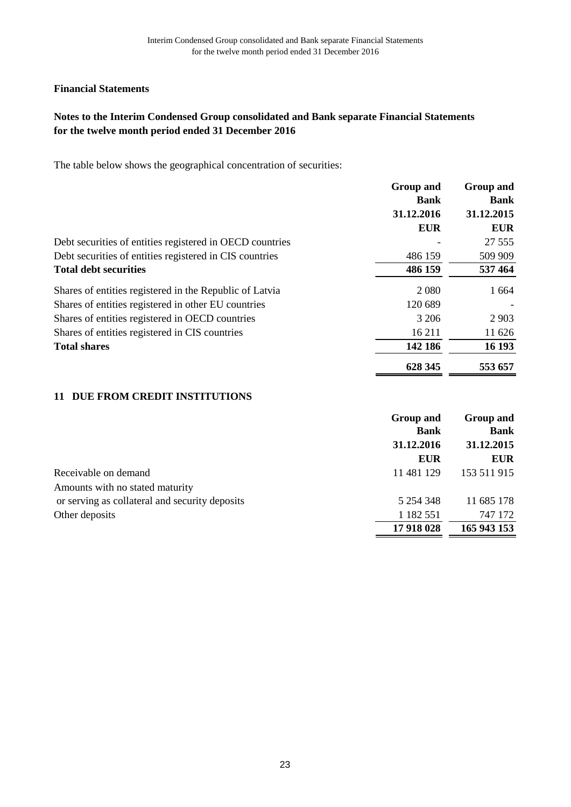# **Notes to the Interim Condensed Group consolidated and Bank separate Financial Statements for the twelve month period ended 31 December 2016**

The table below shows the geographical concentration of securities:

|                                                          | <b>Group and</b> | <b>Group and</b> |
|----------------------------------------------------------|------------------|------------------|
|                                                          | <b>Bank</b>      | <b>Bank</b>      |
|                                                          | 31.12.2016       | 31.12.2015       |
|                                                          | <b>EUR</b>       | <b>EUR</b>       |
| Debt securities of entities registered in OECD countries |                  | 27 5 5 5         |
| Debt securities of entities registered in CIS countries  | 486 159          | 509 909          |
| <b>Total debt securities</b>                             | 486 159          | 537 464          |
| Shares of entities registered in the Republic of Latvia  | 2 0 8 0          | 1 6 6 4          |
| Shares of entities registered in other EU countries      | 120 689          |                  |
| Shares of entities registered in OECD countries          | 3 206            | 2 9 0 3          |
| Shares of entities registered in CIS countries           | 16 211           | 11 626           |
| <b>Total shares</b>                                      | 142 186          | 16 193           |
|                                                          | 628 345          | 553 657          |

## 11 DUE FROM CREDIT INSTITUTIONS

|                                                | <b>Group and</b> | Group and   |
|------------------------------------------------|------------------|-------------|
|                                                | <b>Bank</b>      | <b>Bank</b> |
|                                                | 31.12.2016       | 31.12.2015  |
|                                                | <b>EUR</b>       | <b>EUR</b>  |
| Receivable on demand                           | 11 481 129       | 153 511 915 |
| Amounts with no stated maturity                |                  |             |
| or serving as collateral and security deposits | 5 254 348        | 11 685 178  |
| Other deposits                                 | 1 1 8 2 5 5 1    | 747 172     |
|                                                | 17 918 028       | 165 943 153 |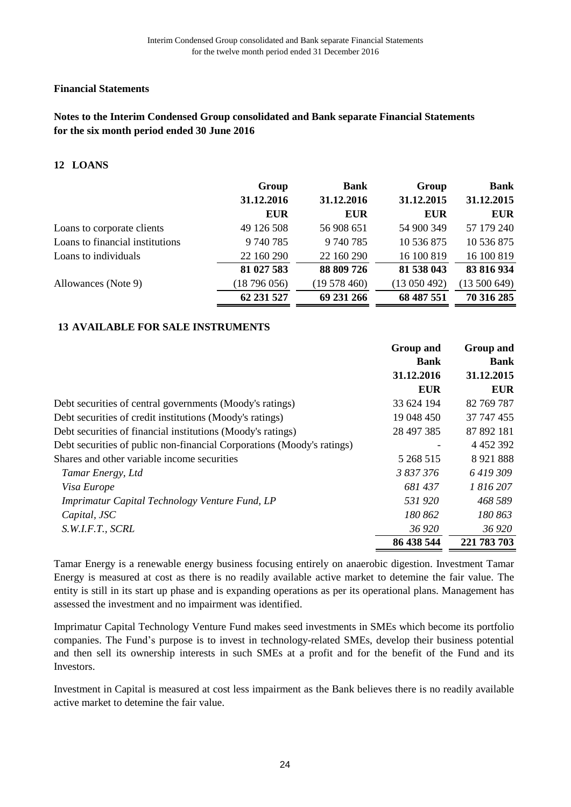# **Notes to the Interim Condensed Group consolidated and Bank separate Financial Statements for the six month period ended 30 June 2016**

#### **LOANS 12**

| Group      | <b>Bank</b> | Group        | <b>Bank</b> |
|------------|-------------|--------------|-------------|
| 31.12.2016 | 31.12.2016  | 31.12.2015   | 31.12.2015  |
| <b>EUR</b> | <b>EUR</b>  | <b>EUR</b>   | EUR         |
| 49 126 508 | 56 908 651  | 54 900 349   | 57 179 240  |
| 9 740 785  | 9 740 785   | 10 536 875   | 10 536 875  |
| 22 160 290 | 22 160 290  | 16 100 819   | 16 100 819  |
| 81 027 583 | 88 809 726  | 81 538 043   | 83 816 934  |
| (18796056) | (19578460)  | (13 050 492) | (13500649)  |
| 62 231 527 | 69 231 266  | 68 487 551   | 70 316 285  |
|            |             |              |             |

## **AVAILABLE FOR SALE INSTRUMENTS 13**

|                                                                        | <b>Group and</b><br><b>Bank</b> | <b>Group and</b><br><b>Bank</b> |  |
|------------------------------------------------------------------------|---------------------------------|---------------------------------|--|
|                                                                        | 31.12.2016                      | 31.12.2015                      |  |
|                                                                        | <b>EUR</b>                      | <b>EUR</b>                      |  |
| Debt securities of central governments (Moody's ratings)               | 33 624 194                      | 82 769 787                      |  |
| Debt securities of credit institutions (Moody's ratings)               | 19 048 450                      | 37 747 455                      |  |
| Debt securities of financial institutions (Moody's ratings)            | 28 497 385                      | 87 892 181                      |  |
| Debt securities of public non-financial Corporations (Moody's ratings) |                                 | 4 4 5 2 3 9 2                   |  |
| Shares and other variable income securities                            | 5 268 515                       | 8 9 21 8 8 8                    |  |
| Tamar Energy, Ltd                                                      | 3 837 376                       | 6419309                         |  |
| Visa Europe                                                            | 681437                          | 1 816 207                       |  |
| Imprimatur Capital Technology Venture Fund, LP                         | 531920                          | 468 589                         |  |
| Capital, JSC                                                           | 180 862                         | 180 863                         |  |
| S.W.I.F.T., SCRL                                                       | 36 920                          | 36 920                          |  |
|                                                                        | 86 438 544                      | 221 783 703                     |  |

Tamar Energy is a renewable energy business focusing entirely on anaerobic digestion. Investment Tamar Energy is measured at cost as there is no readily available active market to detemine the fair value. The entity is still in its start up phase and is expanding operations as per its operational plans. Management has assessed the investment and no impairment was identified.

Imprimatur Capital Technology Venture Fund makes seed investments in SMEs which become its portfolio companies. Тhe Fund's purpose is to invest in technology-related SMEs, develop their business potential and then sell its ownership interests in such SMEs at a profit and for the benefit of the Fund and its Investors.

Investment in Capital is measured at cost less impairment as the Bank believes there is no readily available active market to detemine the fair value.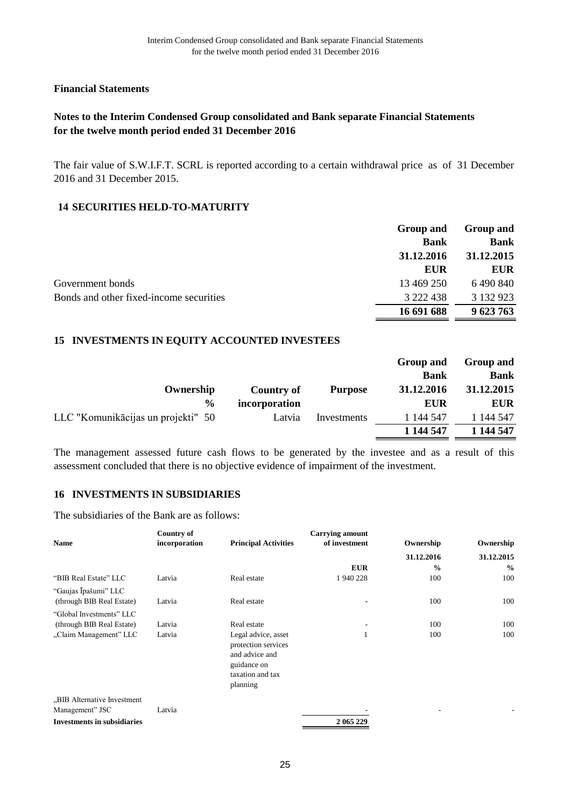# **Notes to the Interim Condensed Group consolidated and Bank separate Financial Statements for the twelve month period ended 31 December 2016**

The fair value of S.W.I.F.T. SCRL is reported according to a certain withdrawal price as of 31 December 2016 and 31 December 2015.

#### **SECURITIES HELD-TO-MATURITY 14**

|                                         | Group and   | Group and                 |  |
|-----------------------------------------|-------------|---------------------------|--|
|                                         | <b>Bank</b> | <b>Bank</b><br>31.12.2015 |  |
|                                         | 31.12.2016  |                           |  |
|                                         | <b>EUR</b>  | <b>EUR</b>                |  |
| Government bonds                        | 13 469 250  | 6 490 840                 |  |
| Bonds and other fixed-income securities | 3 222 438   | 3 132 923                 |  |
|                                         | 16 691 688  | 9 623 763                 |  |

#### **INVESTMENTS IN EQUITY ACCOUNTED INVESTEES 15**

|                                    |               |                | Group and   | <b>Group and</b> |
|------------------------------------|---------------|----------------|-------------|------------------|
|                                    |               |                | <b>Bank</b> | <b>Bank</b>      |
| Ownership                          | Country of    | <b>Purpose</b> | 31.12.2016  | 31.12.2015       |
| $\frac{0}{0}$                      | incorporation |                | <b>EUR</b>  | <b>EUR</b>       |
| LLC "Komunikācijas un projekti" 50 | Latvia        | Investments    | 1 144 547   | 1 144 547        |
|                                    |               |                | 1 144 547   | 1 144 547        |

The management assessed future cash flows to be generated by the investee and as a result of this assessment concluded that there is no objective evidence of impairment of the investment.

#### **INVESTMENTS IN SUBSIDIARIES 16**

The subsidiaries of the Bank are as follows:

|                                    | Country of    |                                            | <b>Carrying amount</b> |               |               |
|------------------------------------|---------------|--------------------------------------------|------------------------|---------------|---------------|
| <b>Name</b>                        | incorporation | <b>Principal Activities</b>                | of investment          | Ownership     | Ownership     |
|                                    |               |                                            |                        | 31.12.2016    | 31.12.2015    |
|                                    |               |                                            | <b>EUR</b>             | $\frac{0}{0}$ | $\frac{0}{0}$ |
| "BIB Real Estate" LLC              | Latvia        | Real estate                                | 1940228                | 100           | 100           |
| "Gaujas Īpašumi" LLC               |               |                                            |                        |               |               |
| (through BIB Real Estate)          | Latvia        | Real estate                                | ٠                      | 100           | 100           |
| "Global Investments" LLC           |               |                                            |                        |               |               |
| (through BIB Real Estate)          | Latvia        | Real estate                                | ٠                      | 100           | 100           |
| "Claim Management" LLC             | Latvia        | Legal advice, asset<br>protection services |                        | 100           | 100           |
|                                    |               | and advice and                             |                        |               |               |
|                                    |               | guidance on                                |                        |               |               |
|                                    |               | taxation and tax                           |                        |               |               |
|                                    |               | planning                                   |                        |               |               |
| "BIB Alternative Investment        |               |                                            |                        |               |               |
| Management" JSC                    | Latvia        |                                            |                        |               |               |
| <b>Investments in subsidiaries</b> |               |                                            | 2 065 229              |               |               |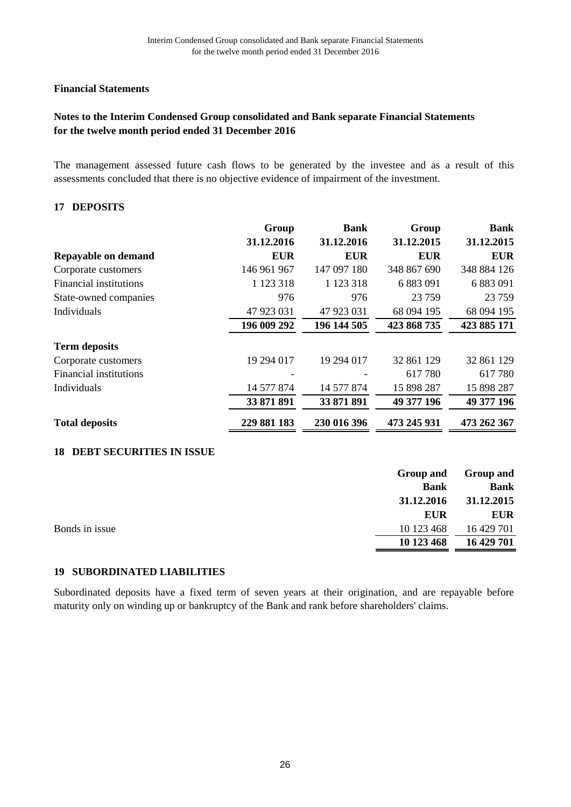# **Notes to the Interim Condensed Group consolidated and Bank separate Financial Statements for the twelve month period ended 31 December 2016**

The management assessed future cash flows to be generated by the investee and as a result of this assessments concluded that there is no objective evidence of impairment of the investment.

#### **DEPOSITS 17**

|                        | Group         | <b>Bank</b>   | Group       | <b>Bank</b> |
|------------------------|---------------|---------------|-------------|-------------|
|                        | 31.12.2016    | 31.12.2016    | 31.12.2015  | 31.12.2015  |
| Repayable on demand    | <b>EUR</b>    | <b>EUR</b>    | <b>EUR</b>  | <b>EUR</b>  |
| Corporate customers    | 146 961 967   | 147 097 180   | 348 867 690 | 348 884 126 |
| Financial institutions | 1 1 2 3 3 1 8 | 1 1 2 3 3 1 8 | 6 883 091   | 6 883 091   |
| State-owned companies  | 976           | 976           | 23 7 59     | 23 7 59     |
| Individuals            | 47 923 031    | 47 923 031    | 68 094 195  | 68 094 195  |
|                        | 196 009 292   | 196 144 505   | 423 868 735 | 423 885 171 |
| <b>Term deposits</b>   |               |               |             |             |
| Corporate customers    | 19 294 017    | 19 294 017    | 32 861 129  | 32 861 129  |
| Financial institutions |               |               | 617780      | 617780      |
| Individuals            | 14 577 874    | 14 577 874    | 15 898 287  | 15 898 287  |
|                        | 33 871 891    | 33 871 891    | 49 377 196  | 49 377 196  |
| <b>Total deposits</b>  | 229 881 183   | 230 016 396   | 473 245 931 | 473 262 367 |

## **DEBT SECURITIES IN ISSUE 18**

|                | Group and   | <b>Group and</b> |
|----------------|-------------|------------------|
|                | <b>Bank</b> | <b>Bank</b>      |
|                | 31.12.2016  | 31.12.2015       |
|                | <b>EUR</b>  | <b>EUR</b>       |
| Bonds in issue | 10 123 468  | 16 429 701       |
|                | 10 123 468  | 16 429 701       |
|                |             |                  |

## **SUBORDINATED LIABILITIES 19**

Subordinated deposits have a fixed term of seven years at their origination, and are repayable before maturity only on winding up or bankruptcy of the Bank and rank before shareholders' claims.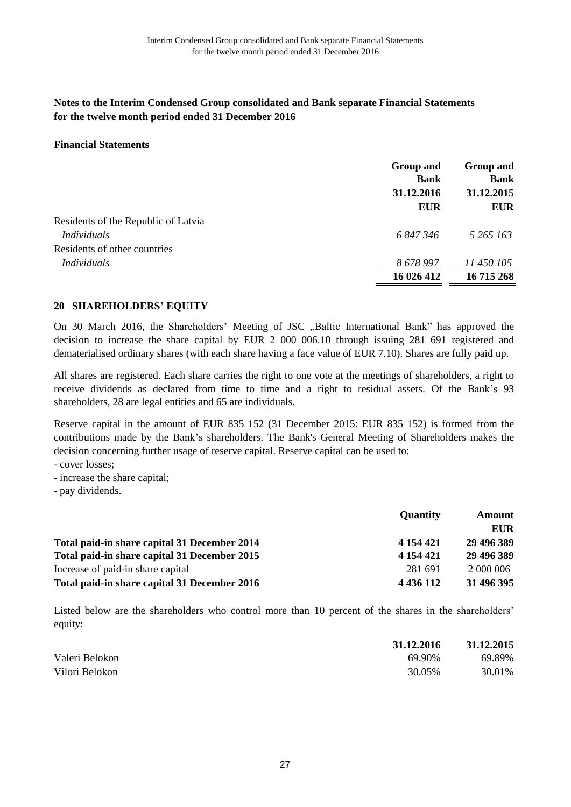#### **Financial Statements**

|                                     | <b>Group and</b><br><b>Bank</b><br>31.12.2016<br><b>EUR</b> | Group and<br><b>Bank</b><br>31.12.2015<br><b>EUR</b> |
|-------------------------------------|-------------------------------------------------------------|------------------------------------------------------|
|                                     |                                                             |                                                      |
| Residents of the Republic of Latvia |                                                             |                                                      |
| <b>Individuals</b>                  | 6847346                                                     | 5 265 163                                            |
| Residents of other countries        |                                                             |                                                      |
| Individuals                         | 8678997                                                     | 11 450 105                                           |
|                                     | 16 026 412                                                  | 16 715 268                                           |

## **SHAREHOLDERS' EQUITY 20**

On 30 March 2016, the Shareholders' Meeting of JSC "Baltic International Bank" has approved the decision to increase the share capital by EUR 2 000 006.10 through issuing 281 691 registered and dematerialised ordinary shares (with each share having a face value of EUR 7.10). Shares are fully paid up.

All shares are registered. Each share carries the right to one vote at the meetings of shareholders, a right to receive dividends as declared from time to time and a right to residual assets. Of the Bank's 93 shareholders, 28 are legal entities and 65 are individuals.

Reserve capital in the amount of EUR 835 152 (31 December 2015: EUR 835 152) is formed from the contributions made by the Bank's shareholders. The Bank's General Meeting of Shareholders makes the decision concerning further usage of reserve capital. Reserve capital can be used to:

- cover losses;

- increase the share capital;
- pay dividends.

|                                              | <b>Quantity</b> | Amount     |  |
|----------------------------------------------|-----------------|------------|--|
|                                              |                 | EUR        |  |
| Total paid-in share capital 31 December 2014 | 4 154 421       | 29 496 389 |  |
| Total paid-in share capital 31 December 2015 | 4 154 421       | 29 496 389 |  |
| Increase of paid-in share capital            | 281 691         | 2 000 006  |  |
| Total paid-in share capital 31 December 2016 | 4 4 3 6 1 1 2   | 31 496 395 |  |

Listed below are the shareholders who control more than 10 percent of the shares in the shareholders' equity:

|                | 31.12.2016 | 31.12.2015 |
|----------------|------------|------------|
| Valeri Belokon | 69.90%     | 69.89%     |
| Vilori Belokon | 30.05%     | 30.01%     |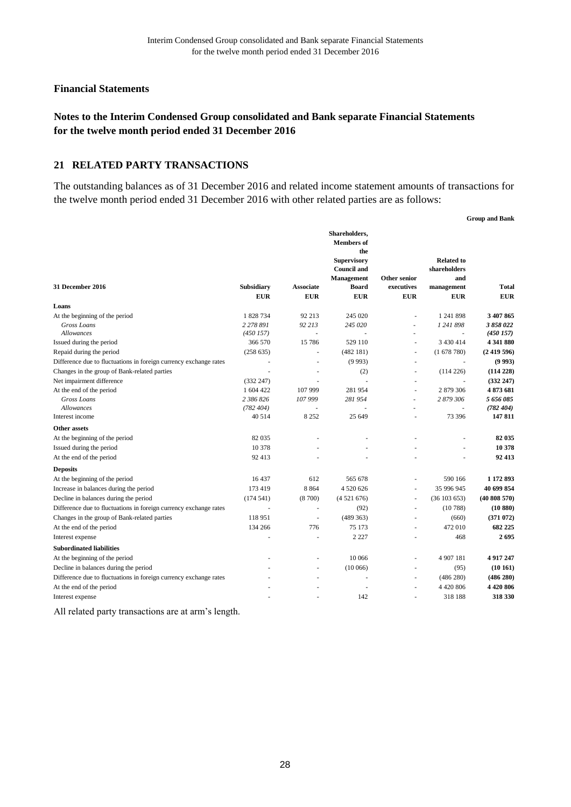## **Notes to the Interim Condensed Group consolidated and Bank separate Financial Statements for the twelve month period ended 31 December 2016**

#### **RELATED PARTY TRANSACTIONS 21**

The outstanding balances as of 31 December 2016 and related income statement amounts of transactions for the twelve month period ended 31 December 2016 with other related parties are as follows:

|                                                                   |                          |                  |                                                                                                     |                          |                                          | <b>Group and Bank</b> |
|-------------------------------------------------------------------|--------------------------|------------------|-----------------------------------------------------------------------------------------------------|--------------------------|------------------------------------------|-----------------------|
|                                                                   |                          |                  | Shareholders,<br><b>Members</b> of<br>the<br><b>Supervisory</b><br><b>Council and</b><br>Management | <b>Other senior</b>      | <b>Related to</b><br>shareholders<br>and |                       |
| 31 December 2016                                                  | Subsidiary               | <b>Associate</b> | <b>Board</b>                                                                                        | executives               | management                               | <b>Total</b>          |
|                                                                   | <b>EUR</b>               | <b>EUR</b>       | <b>EUR</b>                                                                                          | <b>EUR</b>               | <b>EUR</b>                               | <b>EUR</b>            |
| Loans                                                             |                          |                  |                                                                                                     |                          |                                          |                       |
| At the beginning of the period                                    | 1 828 734                | 92 213           | 245 020                                                                                             |                          | 1 241 898                                | 3 407 865             |
| Gross Loans                                                       | 2 278 891                | 92 213           | 245 020                                                                                             | ä,                       | 1 241 898                                | 3 858 022             |
| <b>Allowances</b>                                                 | (450157)                 | ł.               |                                                                                                     | ä,                       |                                          | (450157)              |
| Issued during the period                                          | 366 570                  | 15 78 6          | 529 110                                                                                             | $\sim$                   | 3 4 3 0 4 1 4                            | 4 341 880             |
| Repaid during the period                                          | (258635)                 |                  | (482181)                                                                                            | ä,                       | (1678780)                                | (2419596)             |
| Difference due to fluctuations in foreign currency exchange rates | $\overline{\phantom{a}}$ |                  | (9993)                                                                                              | $\overline{\phantom{a}}$ | $\sim$                                   | (9993)                |
| Changes in the group of Bank-related parties                      | ٠                        | $\overline{a}$   | (2)                                                                                                 | ä,                       | (114226)                                 | (114228)              |
| Net impairment difference                                         | (332 247)                |                  |                                                                                                     | ÷,                       | ÷,                                       | (332 247)             |
| At the end of the period                                          | 1 604 422                | 107 999          | 281954                                                                                              |                          | 2879306                                  | 4873681               |
| Gross Loans                                                       | 2 386 826                | 107 999          | 281 954                                                                                             | ÷,                       | 2 879 306                                | 5 656 085             |
| <b>Allowances</b><br>Interest income                              | (782, 404)               |                  | 25 649                                                                                              | Ĭ.                       | J.                                       | (782, 404)<br>147811  |
|                                                                   | 40 514                   | 8 2 5 2          |                                                                                                     |                          | 73 396                                   |                       |
| Other assets                                                      |                          |                  |                                                                                                     |                          |                                          |                       |
| At the beginning of the period                                    | 82 035                   |                  |                                                                                                     |                          |                                          | 82 035                |
| Issued during the period                                          | 10 378                   |                  |                                                                                                     |                          |                                          | 10 378                |
| At the end of the period                                          | 92 413                   |                  |                                                                                                     |                          |                                          | 92 413                |
| <b>Deposits</b>                                                   |                          |                  |                                                                                                     |                          |                                          |                       |
| At the beginning of the period                                    | 16 437                   | 612              | 565 678                                                                                             |                          | 590 166                                  | 1 172 893             |
| Increase in balances during the period                            | 173 419                  | 8 8 6 4          | 4 520 626                                                                                           | ÷,                       | 35 996 945                               | 40 699 854            |
| Decline in balances during the period                             | (174541)                 | (8700)           | (4521676)                                                                                           | $\sim$                   | (36103653)                               | (40808570)            |
| Difference due to fluctuations in foreign currency exchange rates | ä,                       | ÷,               | (92)                                                                                                | ÷.                       | (10788)                                  | (10 880)              |
| Changes in the group of Bank-related parties                      | 118 951                  | ÷.               | (489 363)                                                                                           | ÷,                       | (660)                                    | (371072)              |
| At the end of the period                                          | 134 266                  | 776              | 75 173                                                                                              | ÷.                       | 472 010                                  | 682 225               |
| Interest expense                                                  |                          |                  | 2 2 2 7                                                                                             |                          | 468                                      | 2695                  |
| <b>Subordinated liabilities</b>                                   |                          |                  |                                                                                                     |                          |                                          |                       |
| At the beginning of the period                                    |                          |                  | 10 066                                                                                              | ÷,                       | 4 907 181                                | 4917247               |
| Decline in balances during the period                             |                          | ä,               | (10066)                                                                                             | ÷,                       | (95)                                     | (10161)               |
| Difference due to fluctuations in foreign currency exchange rates |                          | ä,               |                                                                                                     | ÷,                       | (486 280)                                | (486 280)             |
| At the end of the period                                          |                          |                  |                                                                                                     | J.                       | 4 4 20 8 06                              | 4420806               |
| Interest expense                                                  |                          |                  | 142                                                                                                 | $\sim$                   | 318 188                                  | 318 330               |
|                                                                   |                          |                  |                                                                                                     |                          |                                          |                       |

All related party transactions are at arm's length.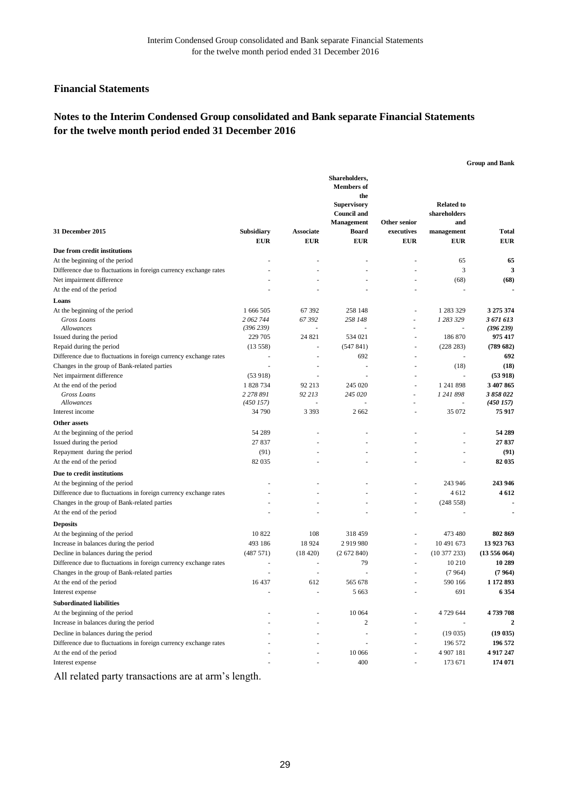# **Notes to the Interim Condensed Group consolidated and Bank separate Financial Statements for the twelve month period ended 31 December 2016**

|                                                                                               |                        |                  |                                                                                                                            |                            |                                                        | <b>Group and Bank</b>  |
|-----------------------------------------------------------------------------------------------|------------------------|------------------|----------------------------------------------------------------------------------------------------------------------------|----------------------------|--------------------------------------------------------|------------------------|
| 31 December 2015                                                                              | Subsidiary             | <b>Associate</b> | Shareholders,<br><b>Members</b> of<br>the<br><b>Supervisory</b><br><b>Council and</b><br><b>Management</b><br><b>Board</b> | Other senior<br>executives | <b>Related to</b><br>shareholders<br>and<br>management | <b>Total</b>           |
| Due from credit institutions                                                                  | <b>EUR</b>             | <b>EUR</b>       | <b>EUR</b>                                                                                                                 | <b>EUR</b>                 | <b>EUR</b>                                             | <b>EUR</b>             |
| At the beginning of the period                                                                |                        |                  |                                                                                                                            |                            | 65                                                     | 65                     |
| Difference due to fluctuations in foreign currency exchange rates                             |                        |                  |                                                                                                                            |                            | 3                                                      | 3                      |
| Net impairment difference                                                                     |                        |                  |                                                                                                                            |                            | (68)                                                   | (68)                   |
| At the end of the period                                                                      |                        |                  |                                                                                                                            |                            |                                                        |                        |
|                                                                                               |                        |                  |                                                                                                                            |                            |                                                        |                        |
| Loans                                                                                         |                        |                  |                                                                                                                            |                            |                                                        |                        |
| At the beginning of the period<br>Gross Loans                                                 | 1 666 505<br>2 062 744 | 67 392<br>67392  | 258 148<br>258 148                                                                                                         | ÷                          | 1 283 329<br>1 283 329                                 | 3 275 374<br>3 671 613 |
| Allowances                                                                                    | (396 239)              |                  |                                                                                                                            |                            |                                                        | (396 239)              |
| Issued during the period                                                                      | 229 705                | 24 821           | 534 021                                                                                                                    | ÷,                         | 186 870                                                | 975 417                |
| Repaid during the period                                                                      | (13558)                |                  | (547841)                                                                                                                   | ÷,                         | (228 283)                                              | (789682)               |
| Difference due to fluctuations in foreign currency exchange rates                             |                        |                  | 692                                                                                                                        |                            |                                                        | 692                    |
| Changes in the group of Bank-related parties                                                  | ÷,                     | ٠                | $\overline{\phantom{a}}$                                                                                                   | ÷,                         | (18)                                                   | (18)                   |
| Net impairment difference                                                                     | (53918)                |                  |                                                                                                                            |                            | ÷,                                                     | (53918)                |
| At the end of the period                                                                      | 1 828 734              | 92 213           | 245 020                                                                                                                    | ÷,                         | 1 241 898                                              | 3 407 865              |
| <b>Gross Loans</b>                                                                            | 2 2 7 8 8 9 1          | 92 213           | 245 020                                                                                                                    | i.                         | 1 241 898                                              | 3 858 022              |
| Allowances                                                                                    | (450157)               |                  |                                                                                                                            |                            | $\sim$                                                 | (450157)               |
| Interest income                                                                               | 34 790                 | 3 3 9 3          | 2 6 6 2                                                                                                                    | ÷,                         | 35 072                                                 | 75917                  |
| Other assets                                                                                  |                        |                  |                                                                                                                            |                            |                                                        |                        |
| At the beginning of the period                                                                | 54 289                 |                  |                                                                                                                            |                            |                                                        | 54 289                 |
| Issued during the period                                                                      | 27 837                 |                  |                                                                                                                            |                            |                                                        | 27837                  |
| Repayment during the period                                                                   | (91)                   |                  |                                                                                                                            |                            |                                                        | (91)                   |
| At the end of the period                                                                      | 82 035                 |                  |                                                                                                                            |                            |                                                        | 82 035                 |
| Due to credit institutions                                                                    |                        |                  |                                                                                                                            |                            |                                                        |                        |
| At the beginning of the period                                                                |                        |                  |                                                                                                                            |                            | 243 946                                                | 243 946                |
| Difference due to fluctuations in foreign currency exchange rates                             |                        |                  |                                                                                                                            | $\ddot{\phantom{1}}$       | 4612                                                   | 4612                   |
| Changes in the group of Bank-related parties                                                  |                        |                  |                                                                                                                            | ä,                         | (248558)                                               |                        |
| At the end of the period                                                                      |                        |                  |                                                                                                                            |                            |                                                        |                        |
| <b>Deposits</b>                                                                               |                        |                  |                                                                                                                            |                            |                                                        |                        |
| At the beginning of the period                                                                | 10 822                 | 108              | 318 459                                                                                                                    |                            | 473 480                                                | 802 869                |
| Increase in balances during the period                                                        | 493 186                | 18 9 24          | 2919980                                                                                                                    | $\overline{\phantom{a}}$   | 10 491 673                                             | 13 923 763             |
| Decline in balances during the period                                                         | (487571)               | (18420)          | (2672840)                                                                                                                  | $\overline{\phantom{a}}$   | $(10\ 377\ 233)$                                       | (13556064)             |
| Difference due to fluctuations in foreign currency exchange rates                             |                        |                  | 79                                                                                                                         |                            | 10 210                                                 | 10 289                 |
| Changes in the group of Bank-related parties                                                  |                        |                  |                                                                                                                            |                            | (7964)                                                 | (7964)                 |
| At the end of the period                                                                      | 16 437                 | 612              | 565 678                                                                                                                    |                            | 590 166                                                | 1 172 893              |
| Interest expense                                                                              |                        |                  | 5 6 6 3                                                                                                                    |                            | 691                                                    | 6 3 5 4                |
| <b>Subordinated liabilities</b>                                                               |                        |                  |                                                                                                                            |                            |                                                        |                        |
|                                                                                               |                        |                  | 10 064                                                                                                                     |                            |                                                        | 4739708                |
| At the beginning of the period<br>Increase in balances during the period                      |                        |                  | $\boldsymbol{2}$                                                                                                           |                            | 4 729 644                                              | 2                      |
|                                                                                               |                        |                  |                                                                                                                            |                            |                                                        |                        |
| Decline in balances during the period                                                         |                        |                  |                                                                                                                            |                            | (19035)                                                | (19035)<br>196 572     |
| Difference due to fluctuations in foreign currency exchange rates<br>At the end of the period |                        |                  |                                                                                                                            |                            | 196 572<br>4 907 181                                   | 4 9 17 247             |
|                                                                                               |                        |                  | 10 066                                                                                                                     | ٠                          |                                                        |                        |
| Interest expense                                                                              |                        |                  | 400                                                                                                                        |                            | 173 671                                                | 174 071                |

All related party transactions are at arm's length.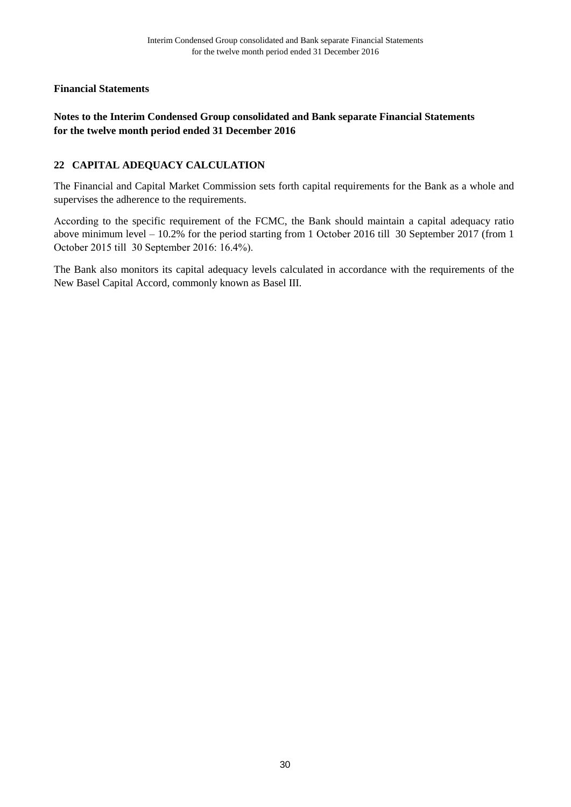# **Notes to the Interim Condensed Group consolidated and Bank separate Financial Statements for the twelve month period ended 31 December 2016**

# **22 CAPITAL ADEQUACY CALCULATION**

The Financial and Capital Market Commission sets forth capital requirements for the Bank as a whole and supervises the adherence to the requirements.

Аccording to the specific requirement of the FCMC, the Bank should maintain a capital adequacy ratio above minimum level – 10.2% for the period starting from 1 Оctober 2016 till 30 September 2017 (from 1 Оctober 2015 till 30 September 2016: 16.4%).

The Bank also monitors its capital adequacy levels calculated in accordance with the requirements of the New Basel Capital Accord, commonly known as Basel III.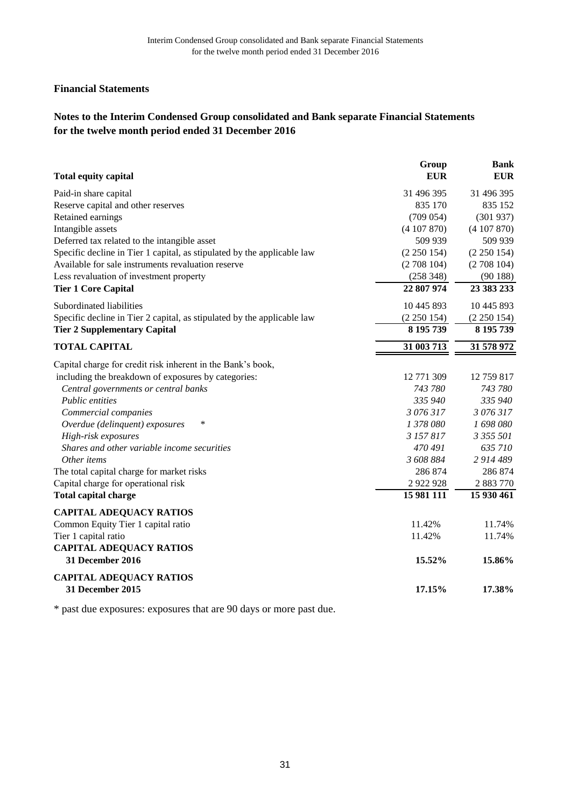# **Notes to the Interim Condensed Group consolidated and Bank separate Financial Statements for the twelve month period ended 31 December 2016**

|                                                                         | Group         | <b>Bank</b> |
|-------------------------------------------------------------------------|---------------|-------------|
| <b>Total equity capital</b>                                             | <b>EUR</b>    | <b>EUR</b>  |
| Paid-in share capital                                                   | 31 496 395    | 31 496 395  |
| Reserve capital and other reserves                                      | 835 170       | 835 152     |
| Retained earnings                                                       | (709 054)     | (301937)    |
| Intangible assets                                                       | (4107870)     | (4107870)   |
| Deferred tax related to the intangible asset                            | 509 939       | 509 939     |
| Specific decline in Tier 1 capital, as stipulated by the applicable law | (2 250 154)   | (2 250 154) |
| Available for sale instruments revaluation reserve                      | (2708104)     | (2708104)   |
| Less revaluation of investment property                                 | (258 348)     | (90188)     |
| <b>Tier 1 Core Capital</b>                                              | 22 807 974    | 23 383 233  |
| Subordinated liabilities                                                | 10 445 893    | 10 445 893  |
| Specific decline in Tier 2 capital, as stipulated by the applicable law | (2 250 154)   | (2 250 154) |
| <b>Tier 2 Supplementary Capital</b>                                     | 8 195 739     | 8 195 739   |
| <b>TOTAL CAPITAL</b>                                                    | 31 003 713    | 31 578 972  |
| Capital charge for credit risk inherent in the Bank's book,             |               |             |
| including the breakdown of exposures by categories:                     | 12 771 309    | 12 759 817  |
| Central governments or central banks                                    | 743 780       | 743 780     |
| Public entities                                                         | 335 940       | 335 940     |
| Commercial companies                                                    | 3 076 317     | 3 076 317   |
| $\ast$<br>Overdue (delinquent) exposures                                | 1 378 080     | 1 698 080   |
| High-risk exposures                                                     | 3 157 817     | 3 355 501   |
| Shares and other variable income securities                             | 470 491       | 635 710     |
| Other items                                                             | 3 608 884     | 2 914 489   |
| The total capital charge for market risks                               | 286 874       | 286 874     |
| Capital charge for operational risk                                     | 2 9 2 9 9 2 8 | 2 883 770   |
| <b>Total capital charge</b>                                             | 15 981 111    | 15 930 461  |
| <b>CAPITAL ADEQUACY RATIOS</b>                                          |               |             |
| Common Equity Tier 1 capital ratio                                      | 11.42%        | 11.74%      |
| Tier 1 capital ratio                                                    | 11.42%        | 11.74%      |
| <b>CAPITAL ADEQUACY RATIOS</b>                                          |               |             |
| 31 December 2016                                                        | 15.52%        | 15.86%      |
| <b>CAPITAL ADEQUACY RATIOS</b>                                          |               |             |
| 31 December 2015                                                        | 17.15%        | 17.38%      |

\* past due exposures: exposures that are 90 days or more past due.